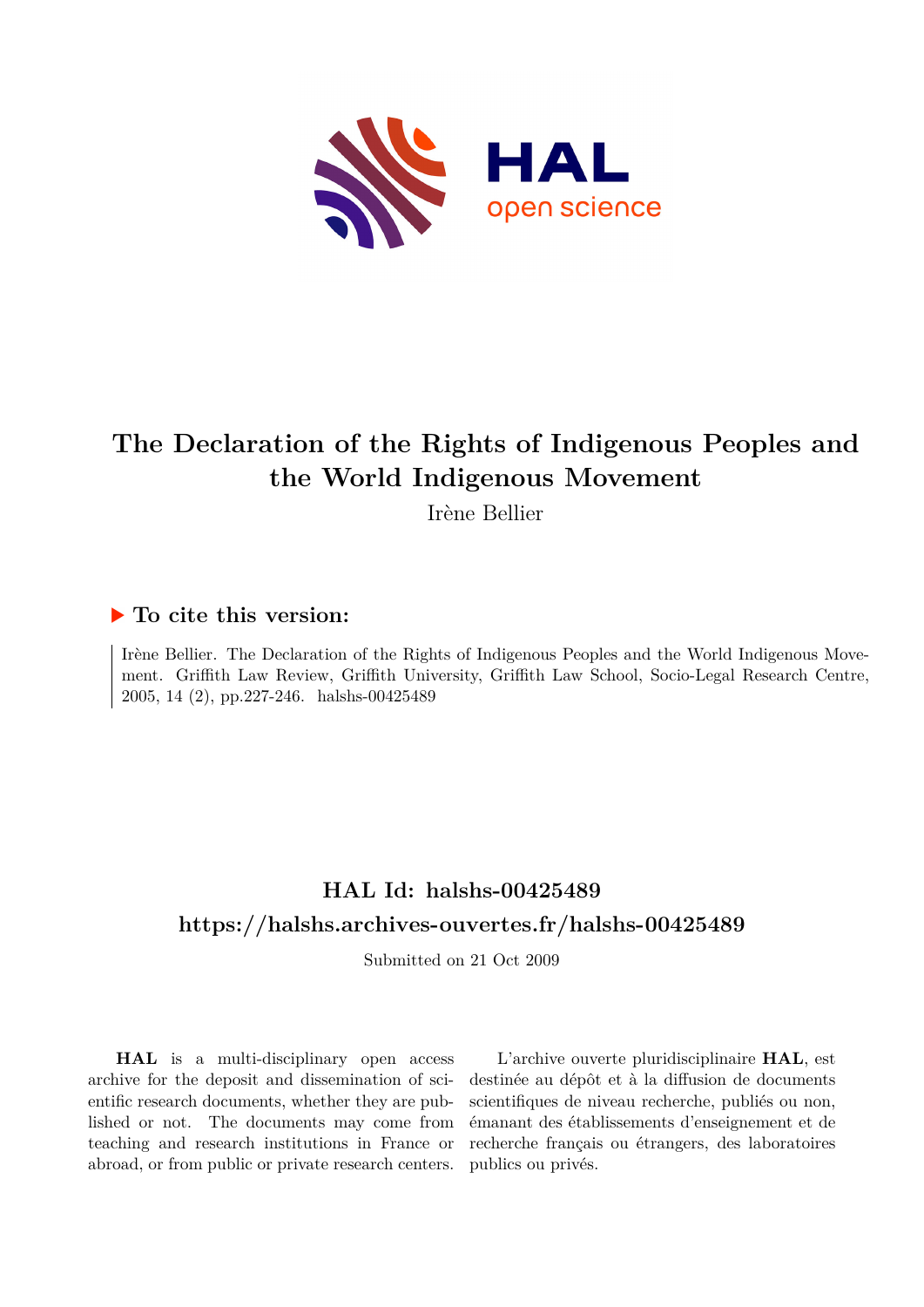

# **The Declaration of the Rights of Indigenous Peoples and the World Indigenous Movement**

Irène Bellier

# **To cite this version:**

Irène Bellier. The Declaration of the Rights of Indigenous Peoples and the World Indigenous Movement. Griffith Law Review, Griffith University, Griffith Law School, Socio-Legal Research Centre, 2005, 14 (2), pp.227-246. halshs-00425489

# **HAL Id: halshs-00425489 <https://halshs.archives-ouvertes.fr/halshs-00425489>**

Submitted on 21 Oct 2009

**HAL** is a multi-disciplinary open access archive for the deposit and dissemination of scientific research documents, whether they are published or not. The documents may come from teaching and research institutions in France or abroad, or from public or private research centers.

L'archive ouverte pluridisciplinaire **HAL**, est destinée au dépôt et à la diffusion de documents scientifiques de niveau recherche, publiés ou non, émanant des établissements d'enseignement et de recherche français ou étrangers, des laboratoires publics ou privés.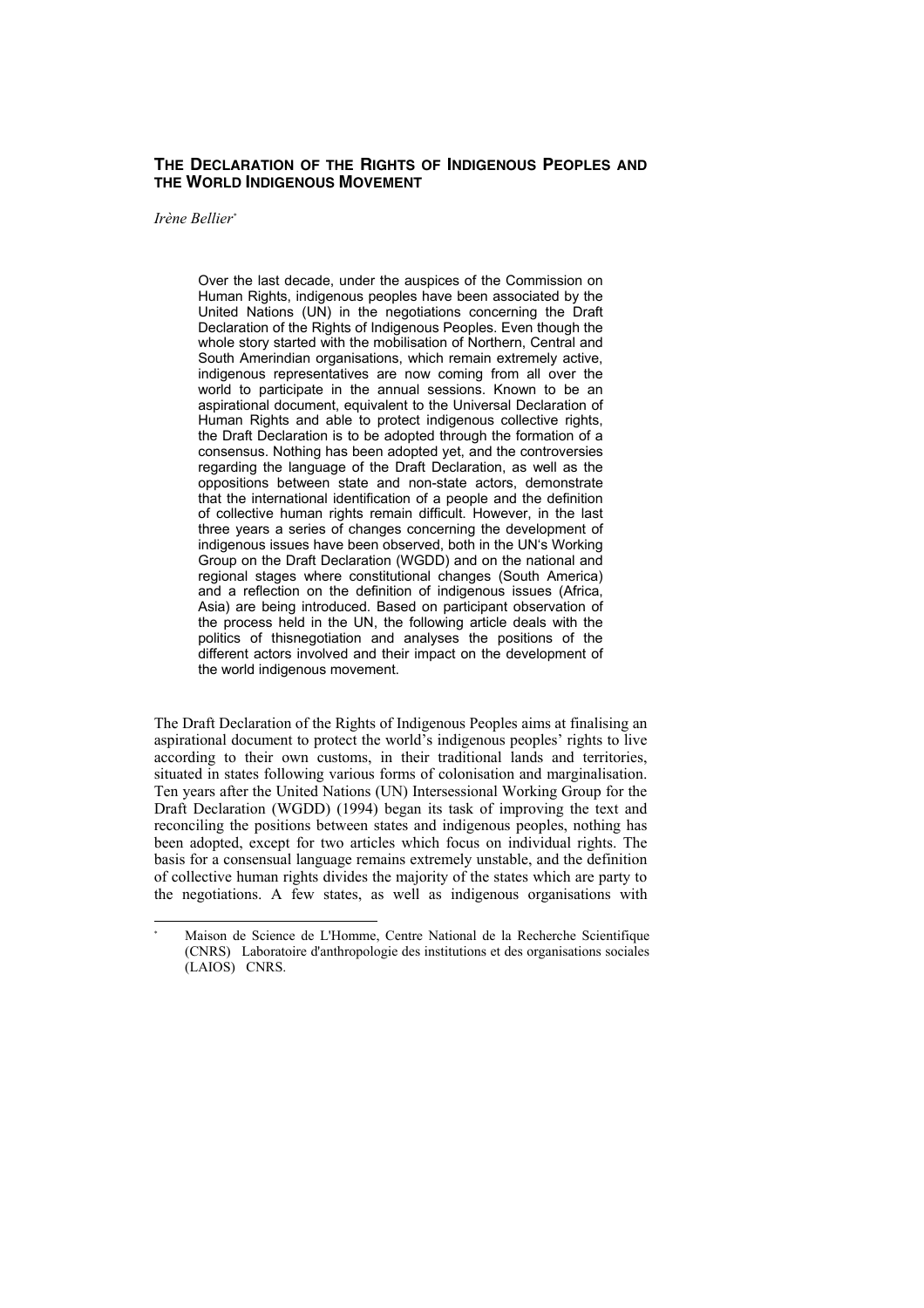# **THE DECLARATION OF THE RIGHTS OF INDIGENOUS PEOPLES AND THE WORLD INDIGENOUS MOVEMENT**

*Irène Bellier\**

l \* Over the last decade, under the auspices of the Commission on Human Rights, indigenous peoples have been associated by the United Nations (UN) in the negotiations concerning the Draft Declaration of the Rights of Indigenous Peoples. Even though the whole story started with the mobilisation of Northern, Central and South Amerindian organisations, which remain extremely active, indigenous representatives are now coming from all over the world to participate in the annual sessions. Known to be an aspirational document, equivalent to the Universal Declaration of Human Rights and able to protect indigenous collective rights, the Draft Declaration is to be adopted through the formation of a consensus. Nothing has been adopted yet, and the controversies regarding the language of the Draft Declaration, as well as the oppositions between state and non-state actors, demonstrate that the international identification of a people and the definition of collective human rights remain difficult. However, in the last three years a series of changes concerning the development of indigenous issues have been observed, both in the UN's Working Group on the Draft Declaration (WGDD) and on the national and regional stages where constitutional changes (South America) and a reflection on the definition of indigenous issues (Africa, Asia) are being introduced. Based on participant observation of the process held in the UN, the following article deals with the politics of thisnegotiation and analyses the positions of the different actors involved and their impact on the development of the world indigenous movement.

The Draft Declaration of the Rights of Indigenous Peoples aims at finalising an aspirational document to protect the world's indigenous peoples' rights to live according to their own customs, in their traditional lands and territories, situated in states following various forms of colonisation and marginalisation. Ten years after the United Nations (UN) Intersessional Working Group for the Draft Declaration (WGDD) (1994) began its task of improving the text and reconciling the positions between states and indigenous peoples, nothing has been adopted, except for two articles which focus on individual rights. The basis for a consensual language remains extremely unstable, and the definition of collective human rights divides the majority of the states which are party to the negotiations. A few states, as well as indigenous organisations with

Maison de Science de L'Homme, Centre National de la Recherche Scientifique (CNRS)Laboratoire d'anthropologie des institutions et des organisations sociales (LAIOS) CNRS.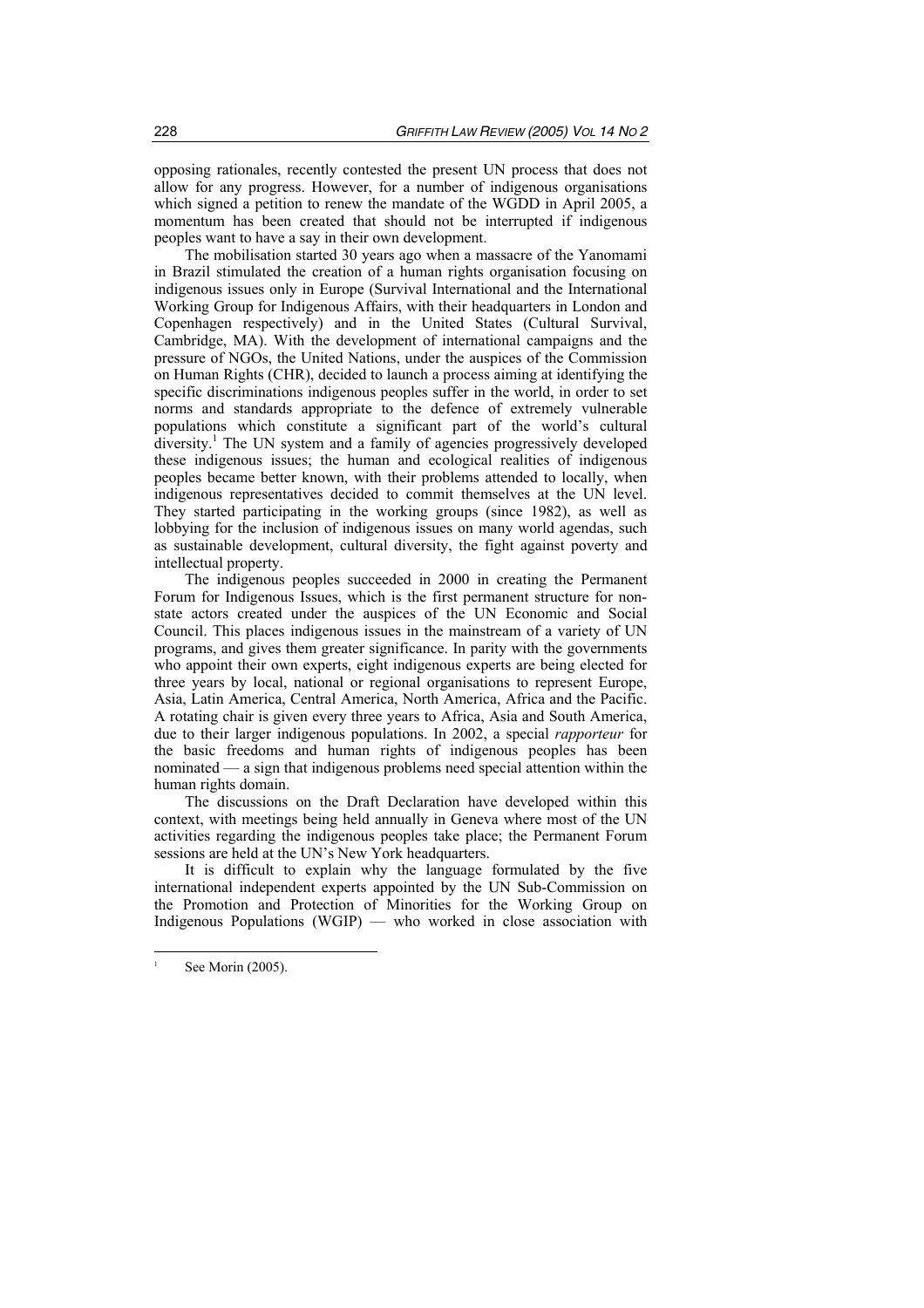opposing rationales, recently contested the present UN process that does not allow for any progress. However, for a number of indigenous organisations which signed a petition to renew the mandate of the WGDD in April 2005, a momentum has been created that should not be interrupted if indigenous peoples want to have a say in their own development.

The mobilisation started 30 years ago when a massacre of the Yanomami in Brazil stimulated the creation of a human rights organisation focusing on indigenous issues only in Europe (Survival International and the International Working Group for Indigenous Affairs, with their headquarters in London and Copenhagen respectively) and in the United States (Cultural Survival, Cambridge, MA). With the development of international campaigns and the pressure of NGOs, the United Nations, under the auspices of the Commission on Human Rights (CHR), decided to launch a process aiming at identifying the specific discriminations indigenous peoples suffer in the world, in order to set norms and standards appropriate to the defence of extremely vulnerable populations which constitute a significant part of the world's cultural diversity.<sup>1</sup> The UN system and a family of agencies progressively developed these indigenous issues; the human and ecological realities of indigenous peoples became better known, with their problems attended to locally, when indigenous representatives decided to commit themselves at the UN level. They started participating in the working groups (since 1982), as well as lobbying for the inclusion of indigenous issues on many world agendas, such as sustainable development, cultural diversity, the fight against poverty and intellectual property.

The indigenous peoples succeeded in 2000 in creating the Permanent Forum for Indigenous Issues, which is the first permanent structure for nonstate actors created under the auspices of the UN Economic and Social Council. This places indigenous issues in the mainstream of a variety of UN programs, and gives them greater significance. In parity with the governments who appoint their own experts, eight indigenous experts are being elected for three years by local, national or regional organisations to represent Europe, Asia, Latin America, Central America, North America, Africa and the Pacific. A rotating chair is given every three years to Africa, Asia and South America, due to their larger indigenous populations. In 2002, a special *rapporteur* for the basic freedoms and human rights of indigenous peoples has been nominated — a sign that indigenous problems need special attention within the human rights domain.

The discussions on the Draft Declaration have developed within this context, with meetings being held annually in Geneva where most of the UN activities regarding the indigenous peoples take place; the Permanent Forum sessions are held at the UN's New York headquarters.

It is difficult to explain why the language formulated by the five international independent experts appointed by the UN Sub-Commission on the Promotion and Protection of Minorities for the Working Group on Indigenous Populations (WGIP) — who worked in close association with

See Morin (2005).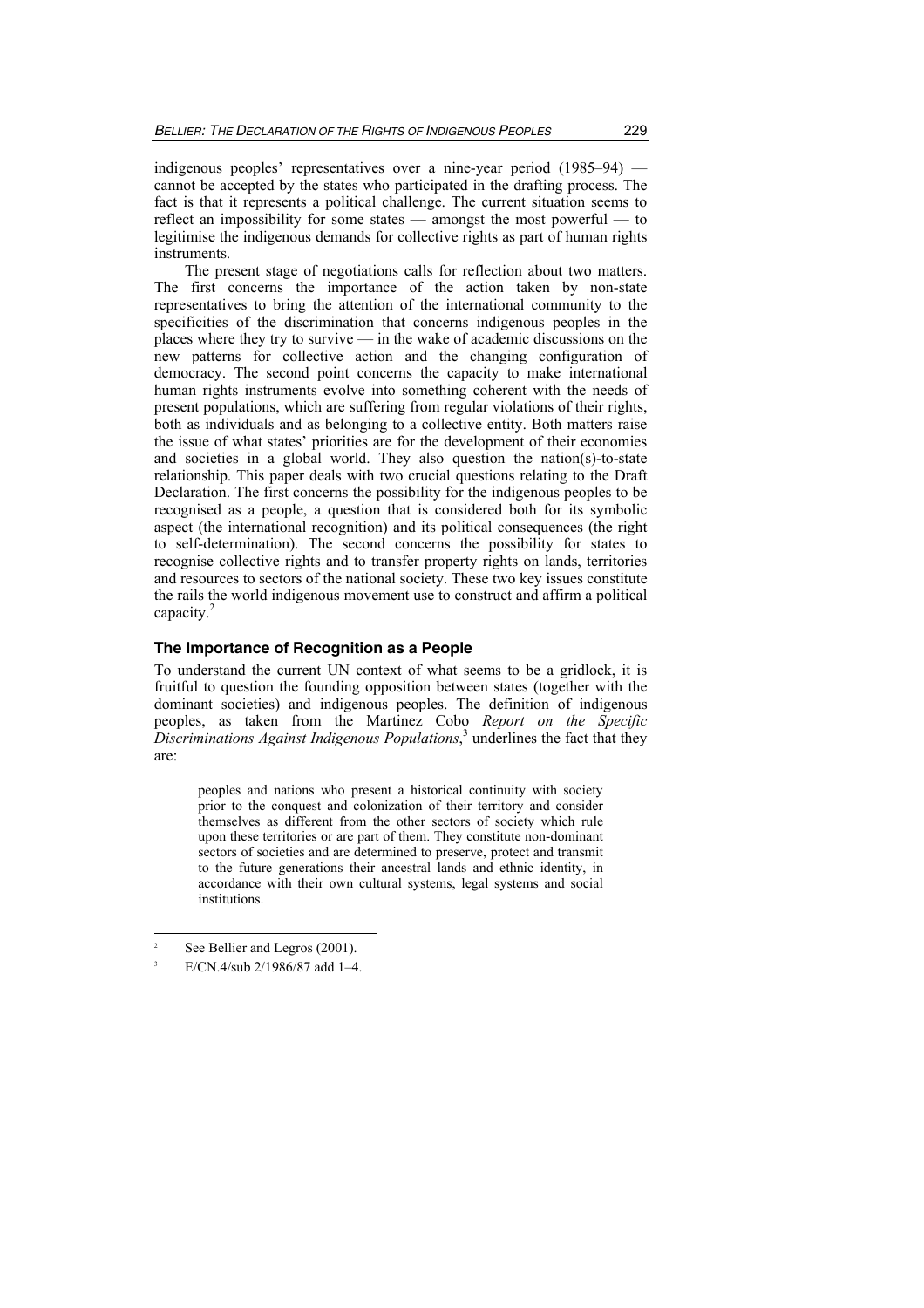indigenous peoples' representatives over a nine-year period (1985–94) cannot be accepted by the states who participated in the drafting process. The fact is that it represents a political challenge. The current situation seems to reflect an impossibility for some states — amongst the most powerful — to legitimise the indigenous demands for collective rights as part of human rights instruments.

The present stage of negotiations calls for reflection about two matters. The first concerns the importance of the action taken by non-state representatives to bring the attention of the international community to the specificities of the discrimination that concerns indigenous peoples in the places where they try to survive — in the wake of academic discussions on the new patterns for collective action and the changing configuration of democracy. The second point concerns the capacity to make international human rights instruments evolve into something coherent with the needs of present populations, which are suffering from regular violations of their rights, both as individuals and as belonging to a collective entity. Both matters raise the issue of what states' priorities are for the development of their economies and societies in a global world. They also question the nation(s)-to-state relationship. This paper deals with two crucial questions relating to the Draft Declaration. The first concerns the possibility for the indigenous peoples to be recognised as a people, a question that is considered both for its symbolic aspect (the international recognition) and its political consequences (the right to self-determination). The second concerns the possibility for states to recognise collective rights and to transfer property rights on lands, territories and resources to sectors of the national society. These two key issues constitute the rails the world indigenous movement use to construct and affirm a political capacity.<sup>2</sup>

### **The Importance of Recognition as a People**

To understand the current UN context of what seems to be a gridlock, it is fruitful to question the founding opposition between states (together with the dominant societies) and indigenous peoples. The definition of indigenous peoples, as taken from the Martinez Cobo *Report on the Specific Discriminations Against Indigenous Populations*, 3 underlines the fact that they are:

peoples and nations who present a historical continuity with society prior to the conquest and colonization of their territory and consider themselves as different from the other sectors of society which rule upon these territories or are part of them. They constitute non-dominant sectors of societies and are determined to preserve, protect and transmit to the future generations their ancestral lands and ethnic identity, in accordance with their own cultural systems, legal systems and social institutions.

<sup>2</sup> See Bellier and Legros (2001).

<sup>3</sup> E/CN.4/sub 2/1986/87 add 1–4.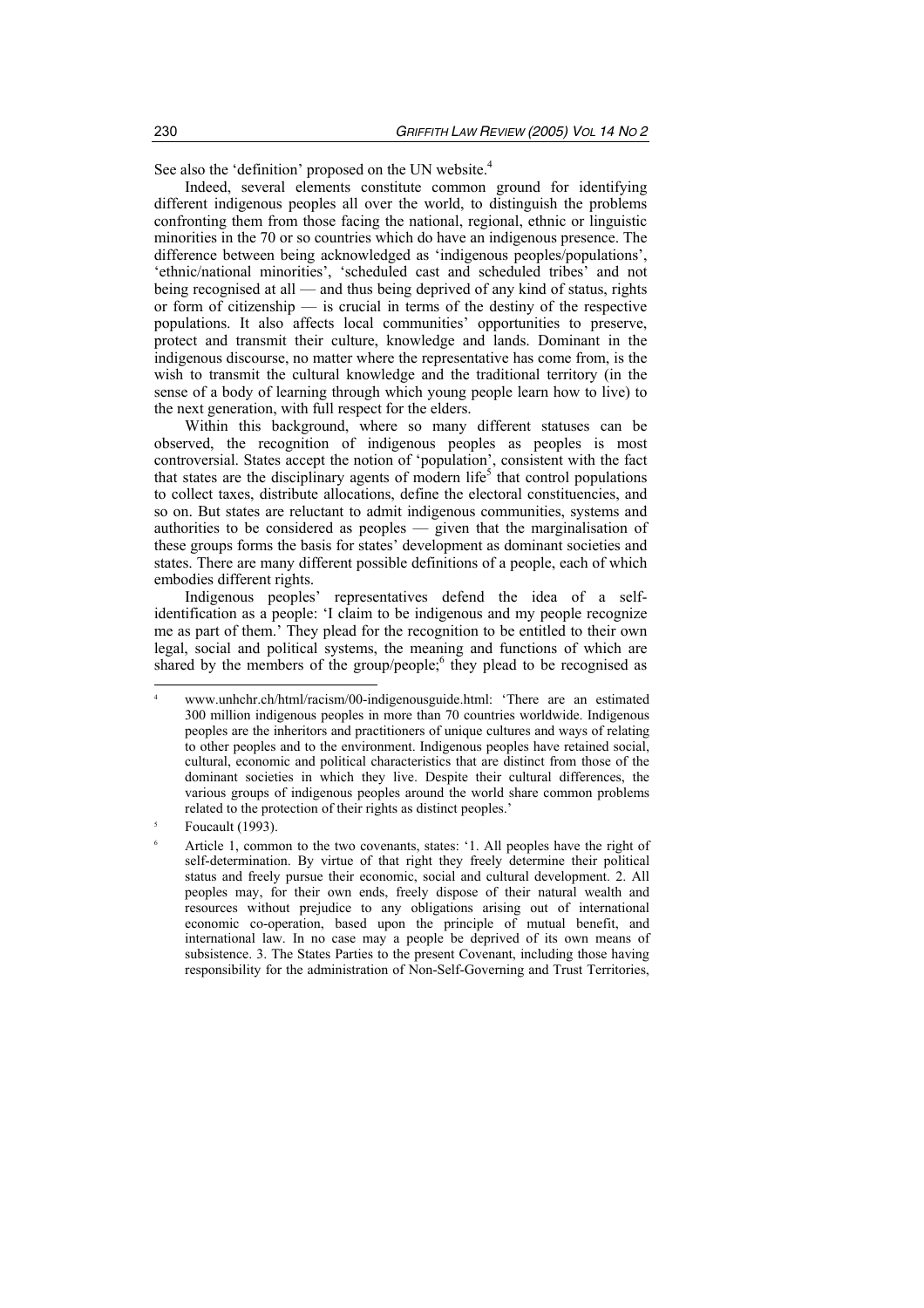See also the 'definition' proposed on the UN website.<sup>4</sup>

Indeed, several elements constitute common ground for identifying different indigenous peoples all over the world, to distinguish the problems confronting them from those facing the national, regional, ethnic or linguistic minorities in the 70 or so countries which do have an indigenous presence. The difference between being acknowledged as 'indigenous peoples/populations', 'ethnic/national minorities', 'scheduled cast and scheduled tribes' and not being recognised at all — and thus being deprived of any kind of status, rights or form of citizenship — is crucial in terms of the destiny of the respective populations. It also affects local communities' opportunities to preserve, protect and transmit their culture, knowledge and lands. Dominant in the indigenous discourse, no matter where the representative has come from, is the wish to transmit the cultural knowledge and the traditional territory (in the sense of a body of learning through which young people learn how to live) to the next generation, with full respect for the elders.

Within this background, where so many different statuses can be observed, the recognition of indigenous peoples as peoples is most controversial. States accept the notion of 'population', consistent with the fact that states are the disciplinary agents of modern life<sup>5</sup> that control populations to collect taxes, distribute allocations, define the electoral constituencies, and so on. But states are reluctant to admit indigenous communities, systems and authorities to be considered as peoples — given that the marginalisation of these groups forms the basis for states' development as dominant societies and states. There are many different possible definitions of a people, each of which embodies different rights.

Indigenous peoples' representatives defend the idea of a selfidentification as a people: 'I claim to be indigenous and my people recognize me as part of them.' They plead for the recognition to be entitled to their own legal, social and political systems, the meaning and functions of which are shared by the members of the group/people;<sup>6</sup> they plead to be recognised as l

<sup>4</sup> www.unhchr.ch/html/racism/00-indigenousguide.html: 'There are an estimated 300 million indigenous peoples in more than 70 countries worldwide. Indigenous peoples are the inheritors and practitioners of unique cultures and ways of relating to other peoples and to the environment. Indigenous peoples have retained social, cultural, economic and political characteristics that are distinct from those of the dominant societies in which they live. Despite their cultural differences, the various groups of indigenous peoples around the world share common problems related to the protection of their rights as distinct peoples.'

<sup>5</sup> Foucault (1993).

<sup>6</sup> Article 1, common to the two covenants, states: '1. All peoples have the right of self-determination. By virtue of that right they freely determine their political status and freely pursue their economic, social and cultural development. 2. All peoples may, for their own ends, freely dispose of their natural wealth and resources without prejudice to any obligations arising out of international economic co-operation, based upon the principle of mutual benefit, and international law. In no case may a people be deprived of its own means of subsistence. 3. The States Parties to the present Covenant, including those having responsibility for the administration of Non-Self-Governing and Trust Territories,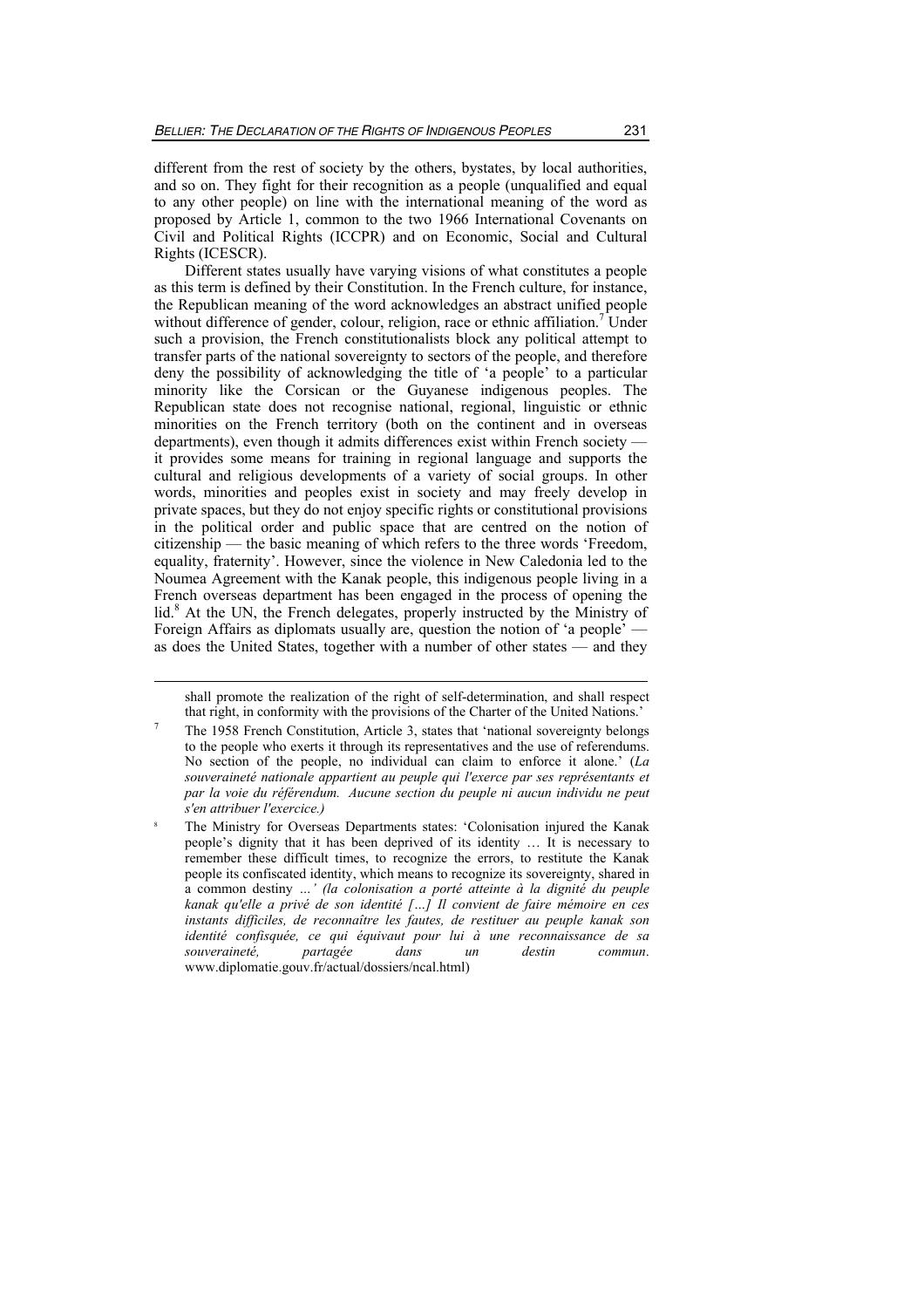different from the rest of society by the others, bystates, by local authorities, and so on. They fight for their recognition as a people (unqualified and equal to any other people) on line with the international meaning of the word as proposed by Article 1, common to the two 1966 International Covenants on Civil and Political Rights (ICCPR) and on Economic, Social and Cultural Rights (ICESCR).

Different states usually have varying visions of what constitutes a people as this term is defined by their Constitution. In the French culture, for instance, the Republican meaning of the word acknowledges an abstract unified people without difference of gender, colour, religion, race or ethnic affiliation.<sup>7</sup> Under such a provision, the French constitutionalists block any political attempt to transfer parts of the national sovereignty to sectors of the people, and therefore deny the possibility of acknowledging the title of 'a people' to a particular minority like the Corsican or the Guyanese indigenous peoples. The Republican state does not recognise national, regional, linguistic or ethnic minorities on the French territory (both on the continent and in overseas departments), even though it admits differences exist within French society it provides some means for training in regional language and supports the cultural and religious developments of a variety of social groups. In other words, minorities and peoples exist in society and may freely develop in private spaces, but they do not enjoy specific rights or constitutional provisions in the political order and public space that are centred on the notion of citizenship — the basic meaning of which refers to the three words 'Freedom, equality, fraternity'. However, since the violence in New Caledonia led to the Noumea Agreement with the Kanak people, this indigenous people living in a French overseas department has been engaged in the process of opening the lid.<sup>8</sup> At the UN, the French delegates, properly instructed by the Ministry of Foreign Affairs as diplomats usually are, question the notion of 'a people' as does the United States, together with a number of other states — and they

shall promote the realization of the right of self-determination, and shall respect that right, in conformity with the provisions of the Charter of the United Nations.' 7

The 1958 French Constitution, Article 3, states that 'national sovereignty belongs to the people who exerts it through its representatives and the use of referendums. No section of the people, no individual can claim to enforce it alone.' (*La souveraineté nationale appartient au peuple qui l'exerce par ses représentants et par la voie du référendum. Aucune section du peuple ni aucun individu ne peut s'en attribuer l'exercice.)* 

<sup>8</sup> The Ministry for Overseas Departments states: 'Colonisation injured the Kanak people's dignity that it has been deprived of its identity … It is necessary to remember these difficult times, to recognize the errors, to restitute the Kanak people its confiscated identity, which means to recognize its sovereignty, shared in a common destiny *…' (la colonisation a porté atteinte à la dignité du peuple kanak qu'elle a privé de son identité […] Il convient de faire mémoire en ces instants difficiles, de reconnaître les fautes, de restituer au peuple kanak son identité confisquée, ce qui équivaut pour lui à une reconnaissance de sa souveraineté, partagée dans un destin commun*. www.diplomatie.gouv.fr/actual/dossiers/ncal.html)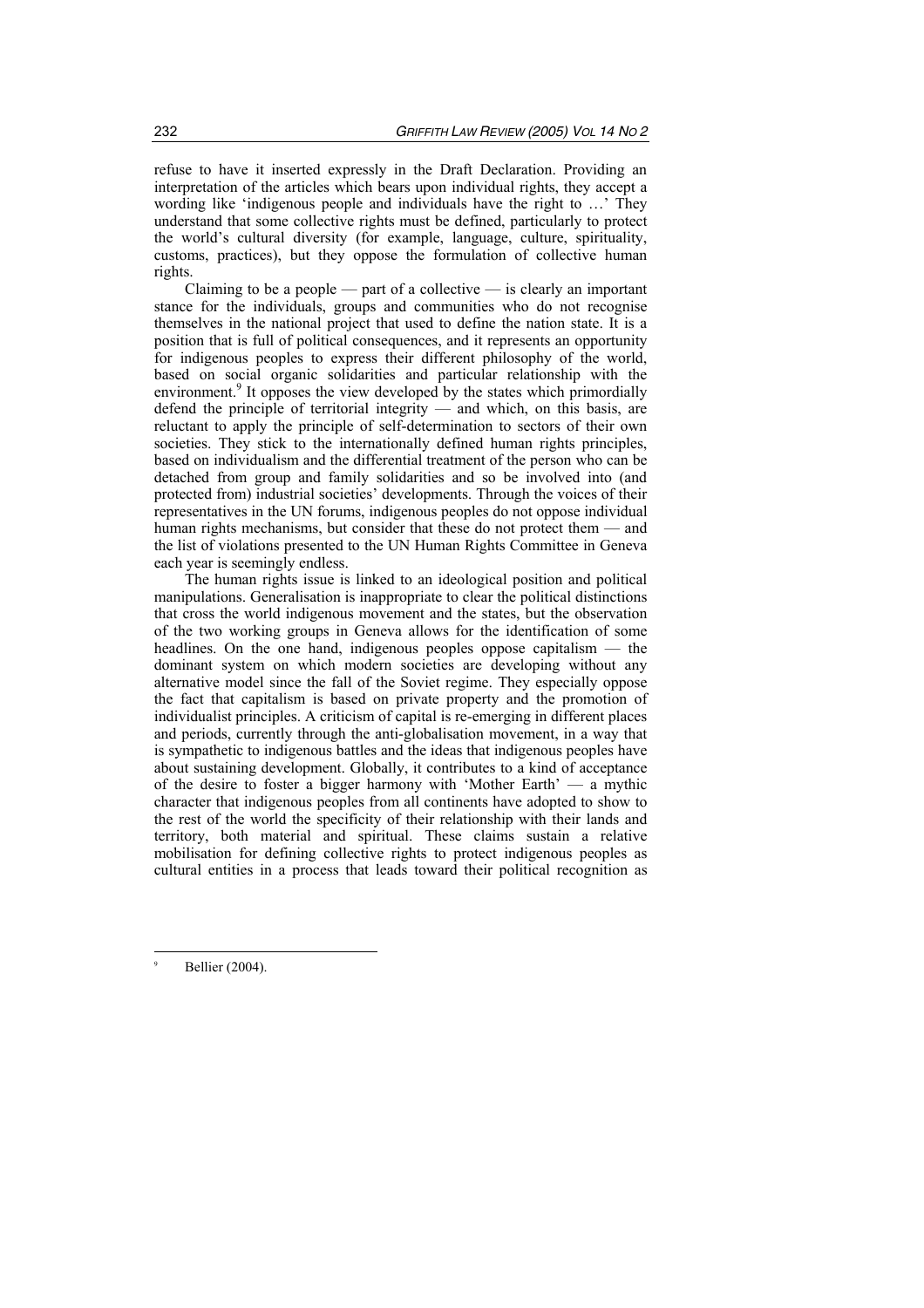refuse to have it inserted expressly in the Draft Declaration. Providing an interpretation of the articles which bears upon individual rights, they accept a wording like 'indigenous people and individuals have the right to …' They understand that some collective rights must be defined, particularly to protect the world's cultural diversity (for example, language, culture, spirituality, customs, practices), but they oppose the formulation of collective human rights.

Claiming to be a people — part of a collective — is clearly an important stance for the individuals, groups and communities who do not recognise themselves in the national project that used to define the nation state. It is a position that is full of political consequences, and it represents an opportunity for indigenous peoples to express their different philosophy of the world, based on social organic solidarities and particular relationship with the environment.<sup>9</sup> It opposes the view developed by the states which primordially defend the principle of territorial integrity — and which, on this basis, are reluctant to apply the principle of self-determination to sectors of their own societies. They stick to the internationally defined human rights principles, based on individualism and the differential treatment of the person who can be detached from group and family solidarities and so be involved into (and protected from) industrial societies' developments. Through the voices of their representatives in the UN forums, indigenous peoples do not oppose individual human rights mechanisms, but consider that these do not protect them — and the list of violations presented to the UN Human Rights Committee in Geneva each year is seemingly endless.

The human rights issue is linked to an ideological position and political manipulations. Generalisation is inappropriate to clear the political distinctions that cross the world indigenous movement and the states, but the observation of the two working groups in Geneva allows for the identification of some headlines. On the one hand, indigenous peoples oppose capitalism — the dominant system on which modern societies are developing without any alternative model since the fall of the Soviet regime. They especially oppose the fact that capitalism is based on private property and the promotion of individualist principles. A criticism of capital is re-emerging in different places and periods, currently through the anti-globalisation movement, in a way that is sympathetic to indigenous battles and the ideas that indigenous peoples have about sustaining development. Globally, it contributes to a kind of acceptance of the desire to foster a bigger harmony with 'Mother Earth' — a mythic character that indigenous peoples from all continents have adopted to show to the rest of the world the specificity of their relationship with their lands and territory, both material and spiritual. These claims sustain a relative mobilisation for defining collective rights to protect indigenous peoples as cultural entities in a process that leads toward their political recognition as

9 Bellier (2004).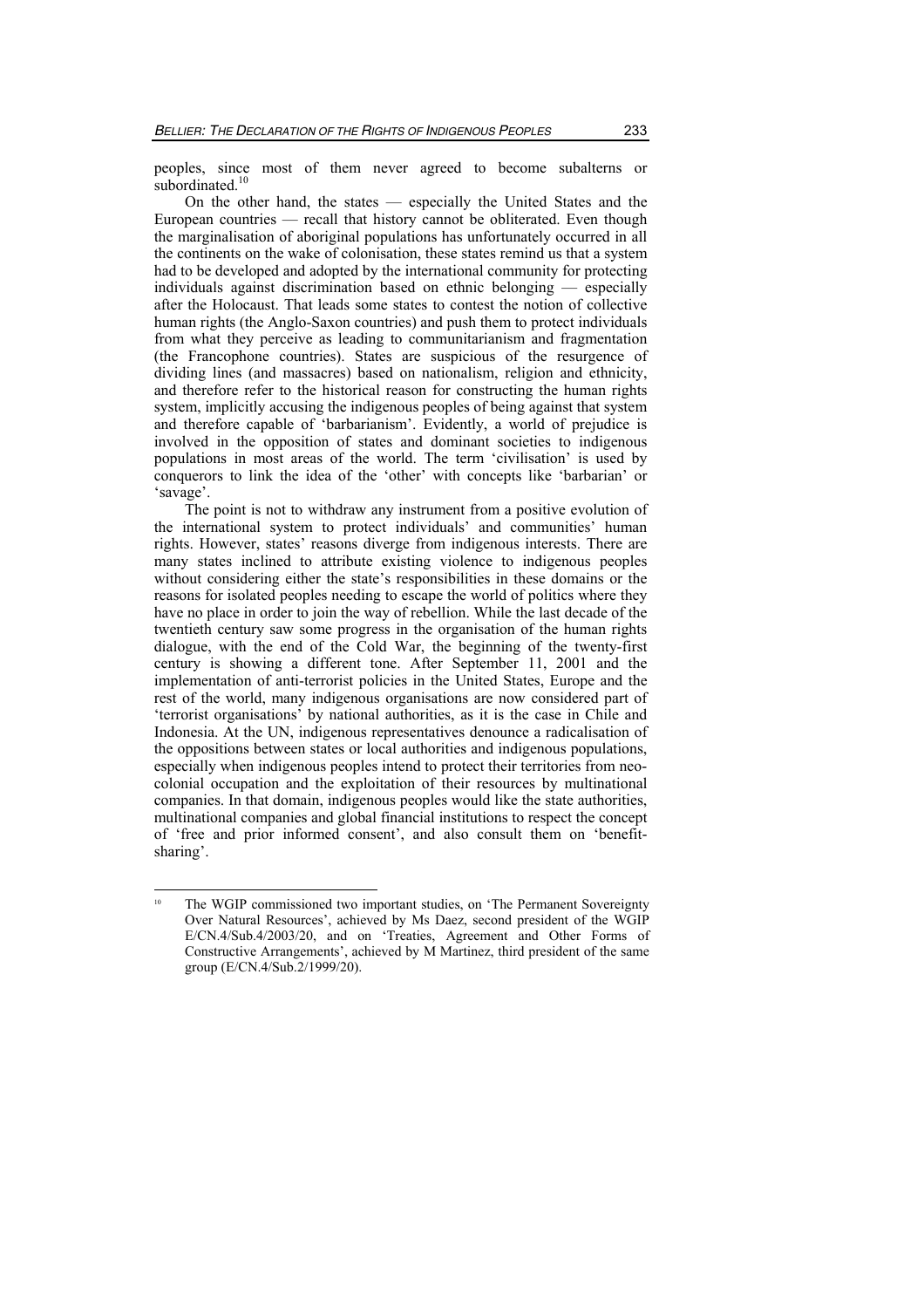peoples, since most of them never agreed to become subalterns or subordinated. $1$ 

On the other hand, the states — especially the United States and the European countries — recall that history cannot be obliterated. Even though the marginalisation of aboriginal populations has unfortunately occurred in all the continents on the wake of colonisation, these states remind us that a system had to be developed and adopted by the international community for protecting individuals against discrimination based on ethnic belonging — especially after the Holocaust. That leads some states to contest the notion of collective human rights (the Anglo-Saxon countries) and push them to protect individuals from what they perceive as leading to communitarianism and fragmentation (the Francophone countries). States are suspicious of the resurgence of dividing lines (and massacres) based on nationalism, religion and ethnicity, and therefore refer to the historical reason for constructing the human rights system, implicitly accusing the indigenous peoples of being against that system and therefore capable of 'barbarianism'. Evidently, a world of prejudice is involved in the opposition of states and dominant societies to indigenous populations in most areas of the world. The term 'civilisation' is used by conquerors to link the idea of the 'other' with concepts like 'barbarian' or 'savage'.

The point is not to withdraw any instrument from a positive evolution of the international system to protect individuals' and communities' human rights. However, states' reasons diverge from indigenous interests. There are many states inclined to attribute existing violence to indigenous peoples without considering either the state's responsibilities in these domains or the reasons for isolated peoples needing to escape the world of politics where they have no place in order to join the way of rebellion. While the last decade of the twentieth century saw some progress in the organisation of the human rights dialogue, with the end of the Cold War, the beginning of the twenty-first century is showing a different tone. After September 11, 2001 and the implementation of anti-terrorist policies in the United States, Europe and the rest of the world, many indigenous organisations are now considered part of 'terrorist organisations' by national authorities, as it is the case in Chile and Indonesia. At the UN, indigenous representatives denounce a radicalisation of the oppositions between states or local authorities and indigenous populations, especially when indigenous peoples intend to protect their territories from neocolonial occupation and the exploitation of their resources by multinational companies. In that domain, indigenous peoples would like the state authorities, multinational companies and global financial institutions to respect the concept of 'free and prior informed consent', and also consult them on 'benefitsharing'.

The WGIP commissioned two important studies, on 'The Permanent Sovereignty Over Natural Resources', achieved by Ms Daez, second president of the WGIP E/CN.4/Sub.4/2003/20, and on 'Treaties, Agreement and Other Forms of Constructive Arrangements', achieved by M Martinez, third president of the same group (E/CN.4/Sub.2/1999/20).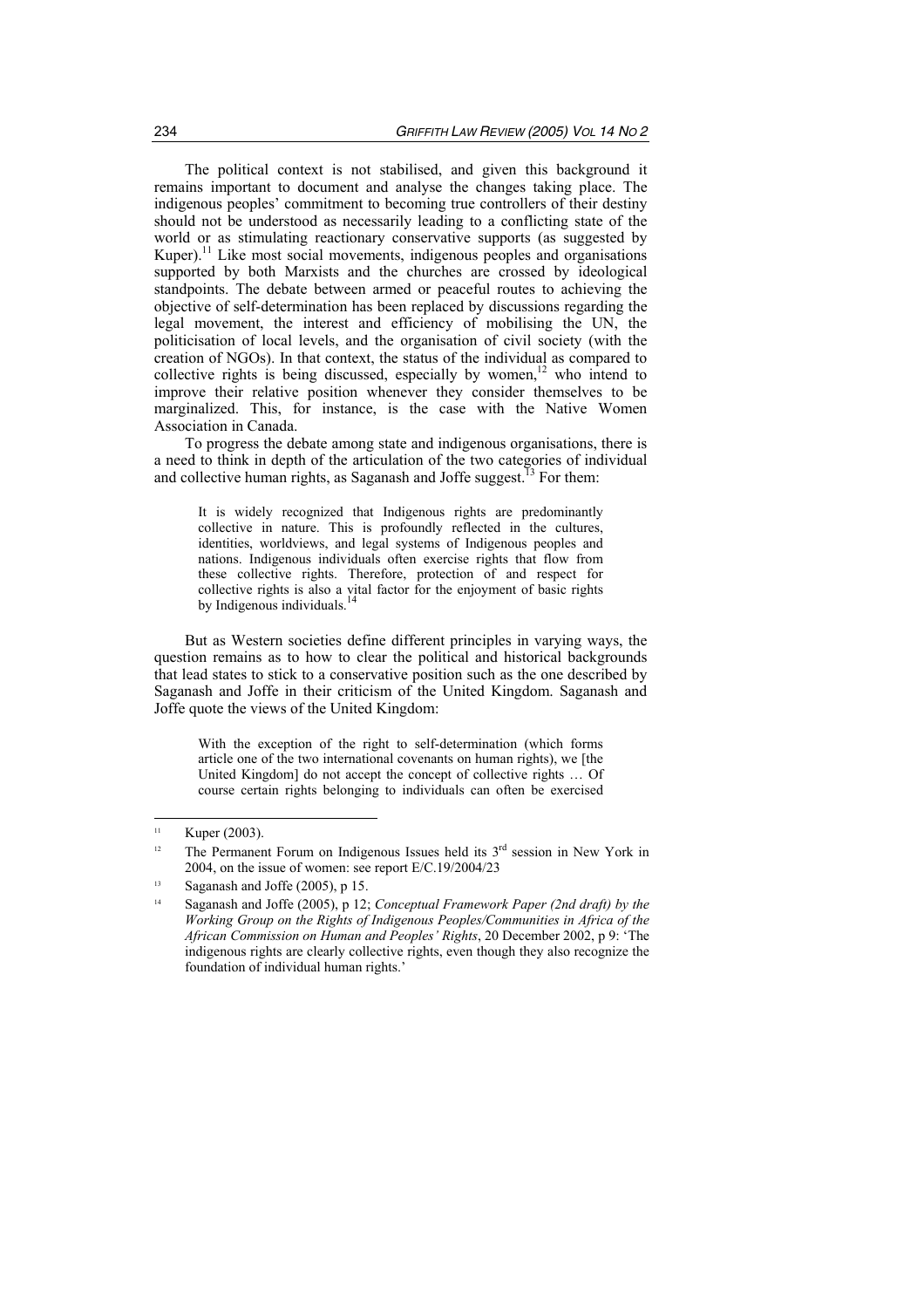The political context is not stabilised, and given this background it remains important to document and analyse the changes taking place. The indigenous peoples' commitment to becoming true controllers of their destiny should not be understood as necessarily leading to a conflicting state of the world or as stimulating reactionary conservative supports (as suggested by Kuper).<sup>11</sup> Like most social movements, indigenous peoples and organisations supported by both Marxists and the churches are crossed by ideological standpoints. The debate between armed or peaceful routes to achieving the objective of self-determination has been replaced by discussions regarding the legal movement, the interest and efficiency of mobilising the UN, the politicisation of local levels, and the organisation of civil society (with the creation of NGOs). In that context, the status of the individual as compared to collective rights is being discussed, especially by women,<sup>12</sup> who intend to improve their relative position whenever they consider themselves to be marginalized. This, for instance, is the case with the Native Women Association in Canada.

To progress the debate among state and indigenous organisations, there is a need to think in depth of the articulation of the two categories of individual and collective human rights, as Saganash and Joffe suggest.<sup>13</sup> For them:

It is widely recognized that Indigenous rights are predominantly collective in nature. This is profoundly reflected in the cultures, identities, worldviews, and legal systems of Indigenous peoples and nations. Indigenous individuals often exercise rights that flow from these collective rights. Therefore, protection of and respect for collective rights is also a vital factor for the enjoyment of basic rights by Indigenous individuals.<sup>14</sup>

But as Western societies define different principles in varying ways, the question remains as to how to clear the political and historical backgrounds that lead states to stick to a conservative position such as the one described by Saganash and Joffe in their criticism of the United Kingdom. Saganash and Joffe quote the views of the United Kingdom:

With the exception of the right to self-determination (which forms article one of the two international covenants on human rights), we [the United Kingdom] do not accept the concept of collective rights … Of course certain rights belonging to individuals can often be exercised

 $11$  Kuper (2003).

<sup>&</sup>lt;sup>12</sup> The Permanent Forum on Indigenous Issues held its  $3<sup>rd</sup>$  session in New York in 2004, on the issue of women: see report  $E/C.19/2004/23$ <br>Saganash and Joffe (2005), p 15.

Saganash and Joffe (2005), p 12; *Conceptual Framework Paper (2nd draft) by the Working Group on the Rights of Indigenous Peoples/Communities in Africa of the African Commission on Human and Peoples' Rights*, 20 December 2002, p 9: 'The indigenous rights are clearly collective rights, even though they also recognize the foundation of individual human rights.'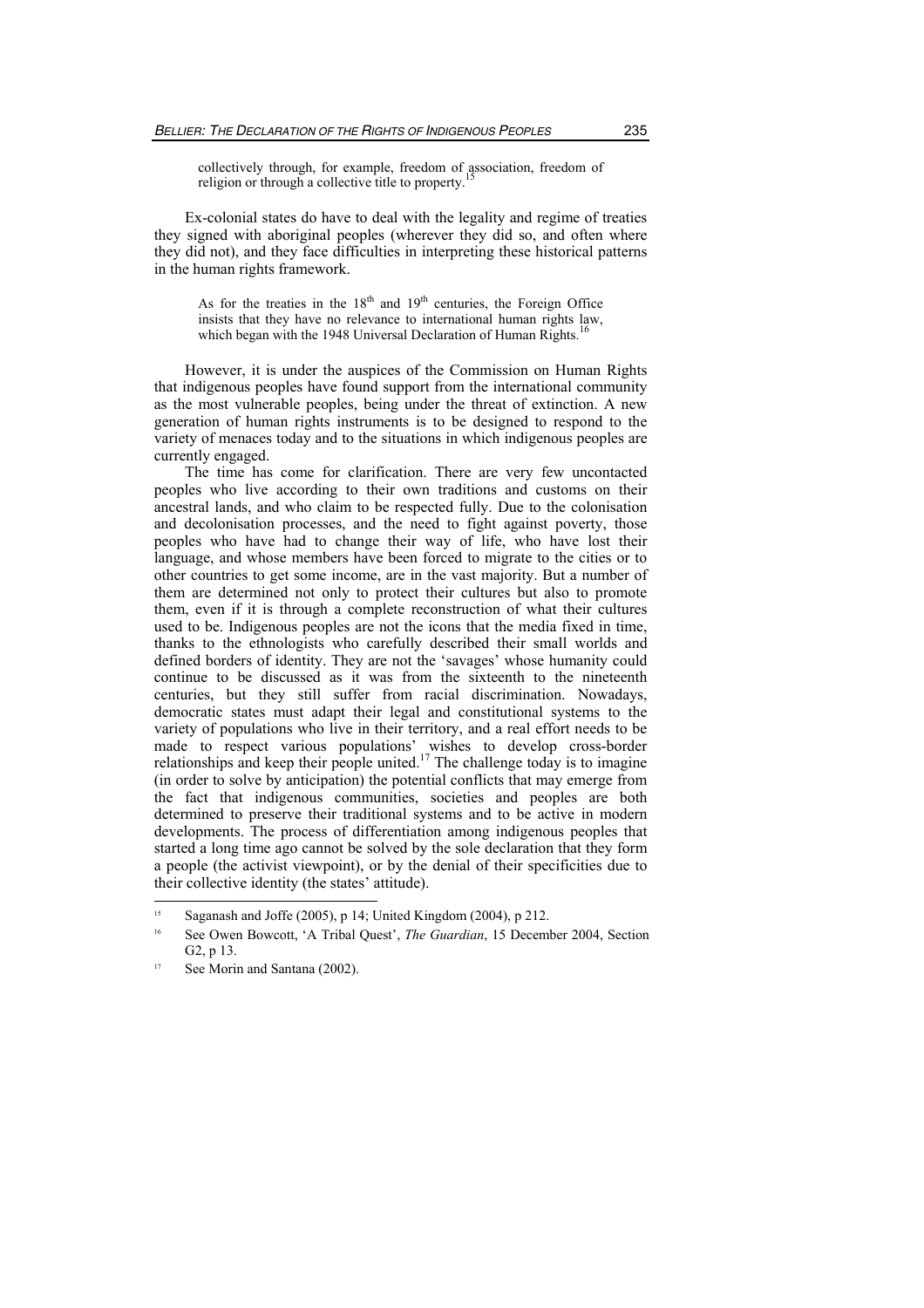collectively through, for example, freedom of association, freedom of religion or through a collective title to property.

Ex-colonial states do have to deal with the legality and regime of treaties they signed with aboriginal peoples (wherever they did so, and often where they did not), and they face difficulties in interpreting these historical patterns in the human rights framework.

As for the treaties in the  $18<sup>th</sup>$  and  $19<sup>th</sup>$  centuries, the Foreign Office insists that they have no relevance to international human rights law, which began with the 1948 Universal Declaration of Human Rights.<sup>1</sup>

However, it is under the auspices of the Commission on Human Rights that indigenous peoples have found support from the international community as the most vulnerable peoples, being under the threat of extinction. A new generation of human rights instruments is to be designed to respond to the variety of menaces today and to the situations in which indigenous peoples are currently engaged.

The time has come for clarification. There are very few uncontacted peoples who live according to their own traditions and customs on their ancestral lands, and who claim to be respected fully. Due to the colonisation and decolonisation processes, and the need to fight against poverty, those peoples who have had to change their way of life, who have lost their language, and whose members have been forced to migrate to the cities or to other countries to get some income, are in the vast majority. But a number of them are determined not only to protect their cultures but also to promote them, even if it is through a complete reconstruction of what their cultures used to be. Indigenous peoples are not the icons that the media fixed in time, thanks to the ethnologists who carefully described their small worlds and defined borders of identity. They are not the 'savages' whose humanity could continue to be discussed as it was from the sixteenth to the nineteenth centuries, but they still suffer from racial discrimination. Nowadays, democratic states must adapt their legal and constitutional systems to the variety of populations who live in their territory, and a real effort needs to be made to respect various populations' wishes to develop cross-border relationships and keep their people united.<sup>17</sup> The challenge today is to imagine (in order to solve by anticipation) the potential conflicts that may emerge from the fact that indigenous communities, societies and peoples are both determined to preserve their traditional systems and to be active in modern developments. The process of differentiation among indigenous peoples that started a long time ago cannot be solved by the sole declaration that they form a people (the activist viewpoint), or by the denial of their specificities due to their collective identity (the states' attitude).

<sup>&</sup>lt;sup>15</sup> Saganash and Joffe (2005), p 14; United Kingdom (2004), p 212.

<sup>16</sup> See Owen Bowcott, 'A Tribal Quest', *The Guardian*, 15 December 2004, Section G2, p 13.

<sup>&</sup>lt;sup>17</sup> See Morin and Santana (2002).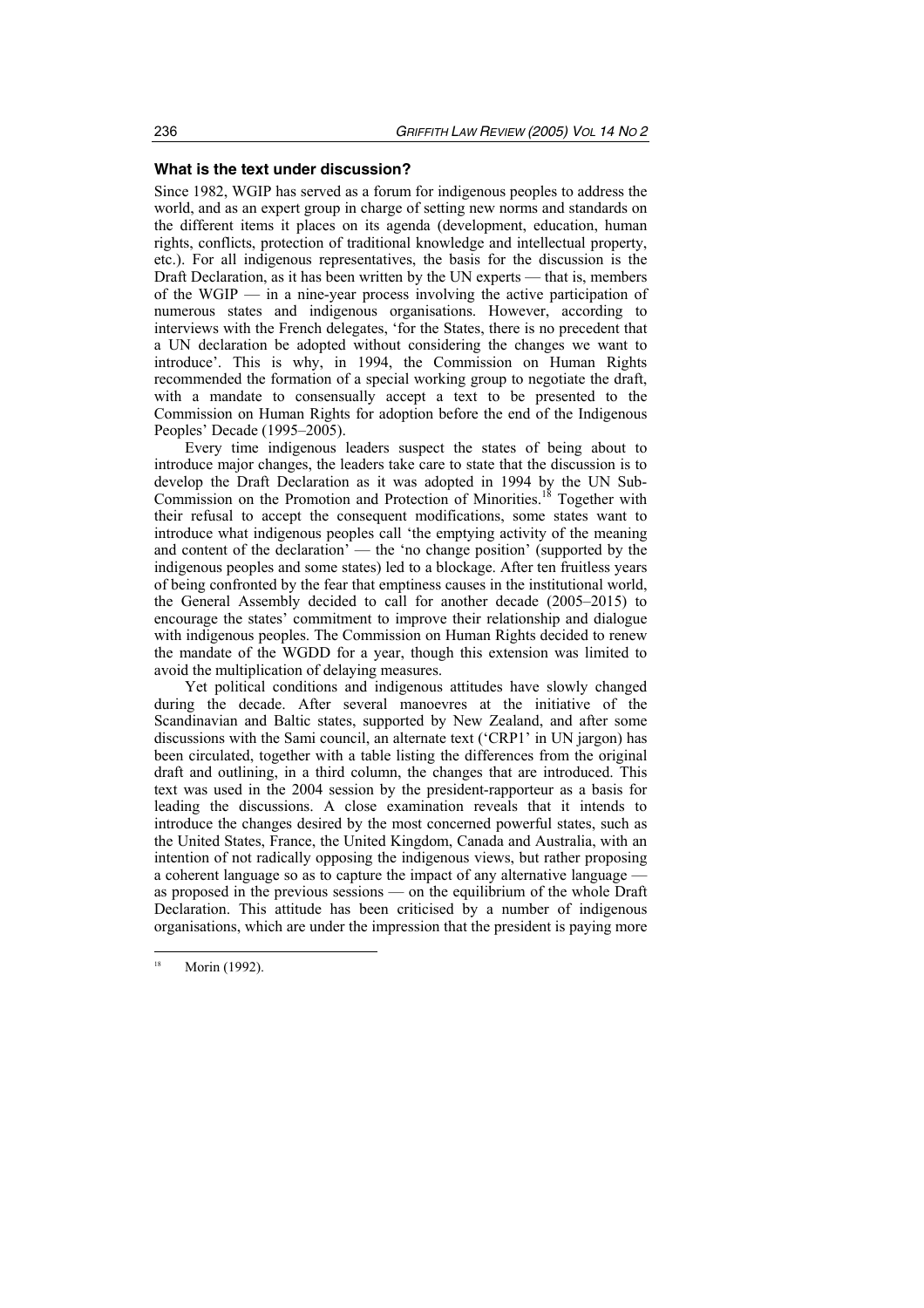### **What is the text under discussion?**

Since 1982, WGIP has served as a forum for indigenous peoples to address the world, and as an expert group in charge of setting new norms and standards on the different items it places on its agenda (development, education, human rights, conflicts, protection of traditional knowledge and intellectual property, etc.). For all indigenous representatives, the basis for the discussion is the Draft Declaration, as it has been written by the UN experts — that is, members of the WGIP — in a nine-year process involving the active participation of numerous states and indigenous organisations. However, according to interviews with the French delegates, 'for the States, there is no precedent that a UN declaration be adopted without considering the changes we want to introduce'. This is why, in 1994, the Commission on Human Rights recommended the formation of a special working group to negotiate the draft, with a mandate to consensually accept a text to be presented to the Commission on Human Rights for adoption before the end of the Indigenous Peoples' Decade (1995–2005).

Every time indigenous leaders suspect the states of being about to introduce major changes, the leaders take care to state that the discussion is to develop the Draft Declaration as it was adopted in 1994 by the UN Sub-Commission on the Promotion and Protection of Minorities.<sup>18</sup> Together with their refusal to accept the consequent modifications, some states want to introduce what indigenous peoples call 'the emptying activity of the meaning and content of the declaration' — the 'no change position' (supported by the indigenous peoples and some states) led to a blockage. After ten fruitless years of being confronted by the fear that emptiness causes in the institutional world, the General Assembly decided to call for another decade (2005–2015) to encourage the states' commitment to improve their relationship and dialogue with indigenous peoples. The Commission on Human Rights decided to renew the mandate of the WGDD for a year, though this extension was limited to avoid the multiplication of delaying measures.

Yet political conditions and indigenous attitudes have slowly changed during the decade. After several manoevres at the initiative of the Scandinavian and Baltic states, supported by New Zealand, and after some discussions with the Sami council, an alternate text ('CRP1' in UN jargon) has been circulated, together with a table listing the differences from the original draft and outlining, in a third column, the changes that are introduced. This text was used in the 2004 session by the president-rapporteur as a basis for leading the discussions. A close examination reveals that it intends to introduce the changes desired by the most concerned powerful states, such as the United States, France, the United Kingdom, Canada and Australia, with an intention of not radically opposing the indigenous views, but rather proposing a coherent language so as to capture the impact of any alternative language as proposed in the previous sessions — on the equilibrium of the whole Draft Declaration. This attitude has been criticised by a number of indigenous organisations, which are under the impression that the president is paying more

Morin (1992).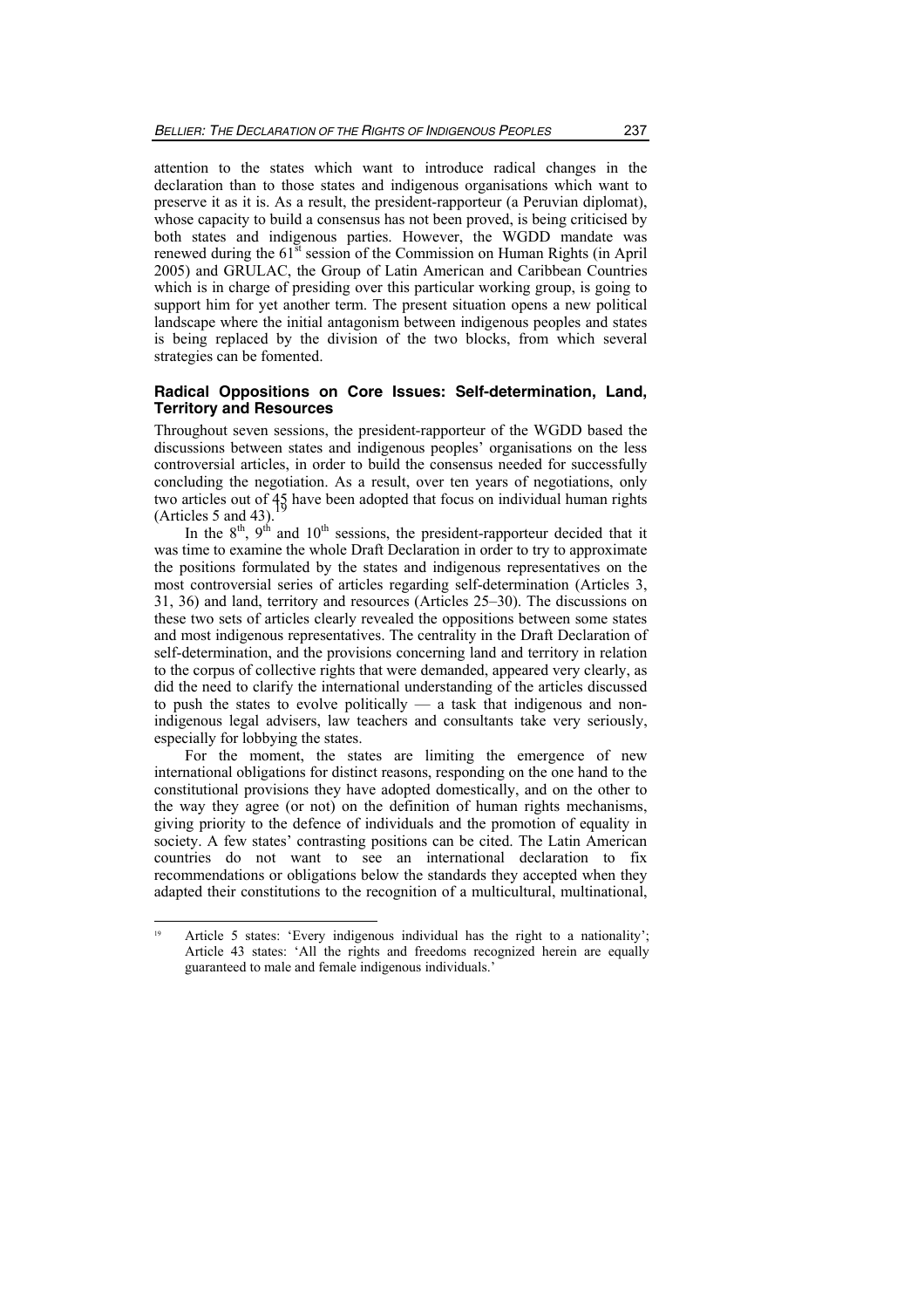attention to the states which want to introduce radical changes in the declaration than to those states and indigenous organisations which want to preserve it as it is. As a result, the president-rapporteur (a Peruvian diplomat), whose capacity to build a consensus has not been proved, is being criticised by both states and indigenous parties. However, the WGDD mandate was renewed during the  $61^{st}$  session of the Commission on Human Rights (in April 2005) and GRULAC, the Group of Latin American and Caribbean Countries which is in charge of presiding over this particular working group, is going to support him for yet another term. The present situation opens a new political landscape where the initial antagonism between indigenous peoples and states is being replaced by the division of the two blocks, from which several strategies can be fomented.

# **Radical Oppositions on Core Issues: Self-determination, Land, Territory and Resources**

Throughout seven sessions, the president-rapporteur of the WGDD based the discussions between states and indigenous peoples' organisations on the less controversial articles, in order to build the consensus needed for successfully concluding the negotiation. As a result, over ten years of negotiations, only two articles out of 45 have been adopted that focus on individual human rights  $(Articles 5 and 43).$ 

In the  $8<sup>th</sup>$ ,  $9<sup>th</sup>$  and  $10<sup>th</sup>$  sessions, the president-rapporteur decided that it was time to examine the whole Draft Declaration in order to try to approximate the positions formulated by the states and indigenous representatives on the most controversial series of articles regarding self-determination (Articles 3, 31, 36) and land, territory and resources (Articles 25–30). The discussions on these two sets of articles clearly revealed the oppositions between some states and most indigenous representatives. The centrality in the Draft Declaration of self-determination, and the provisions concerning land and territory in relation to the corpus of collective rights that were demanded, appeared very clearly, as did the need to clarify the international understanding of the articles discussed to push the states to evolve politically  $-$  a task that indigenous and nonindigenous legal advisers, law teachers and consultants take very seriously, especially for lobbying the states.

For the moment, the states are limiting the emergence of new international obligations for distinct reasons, responding on the one hand to the constitutional provisions they have adopted domestically, and on the other to the way they agree (or not) on the definition of human rights mechanisms, giving priority to the defence of individuals and the promotion of equality in society. A few states' contrasting positions can be cited. The Latin American countries do not want to see an international declaration to fix recommendations or obligations below the standards they accepted when they adapted their constitutions to the recognition of a multicultural, multinational,

Article 5 states: 'Every indigenous individual has the right to a nationality'; Article 43 states: 'All the rights and freedoms recognized herein are equally guaranteed to male and female indigenous individuals.'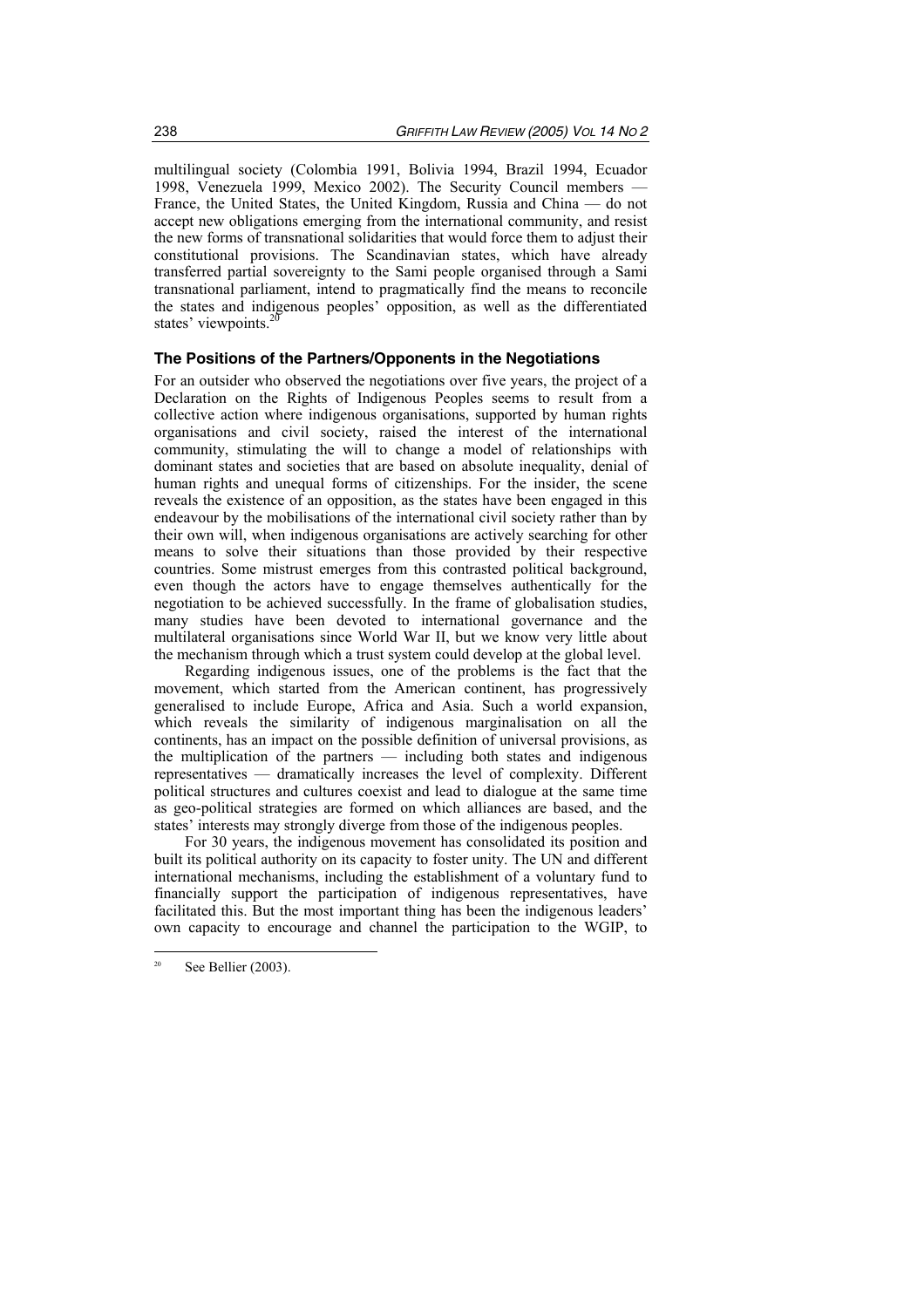multilingual society (Colombia 1991, Bolivia 1994, Brazil 1994, Ecuador 1998, Venezuela 1999, Mexico 2002). The Security Council members — France, the United States, the United Kingdom, Russia and China — do not accept new obligations emerging from the international community, and resist the new forms of transnational solidarities that would force them to adjust their constitutional provisions. The Scandinavian states, which have already transferred partial sovereignty to the Sami people organised through a Sami transnational parliament, intend to pragmatically find the means to reconcile the states and indigenous peoples' opposition, as well as the differentiated states' viewpoints.<sup>20</sup>

# **The Positions of the Partners/Opponents in the Negotiations**

For an outsider who observed the negotiations over five years, the project of a Declaration on the Rights of Indigenous Peoples seems to result from a collective action where indigenous organisations, supported by human rights organisations and civil society, raised the interest of the international community, stimulating the will to change a model of relationships with dominant states and societies that are based on absolute inequality, denial of human rights and unequal forms of citizenships. For the insider, the scene reveals the existence of an opposition, as the states have been engaged in this endeavour by the mobilisations of the international civil society rather than by their own will, when indigenous organisations are actively searching for other means to solve their situations than those provided by their respective countries. Some mistrust emerges from this contrasted political background, even though the actors have to engage themselves authentically for the negotiation to be achieved successfully. In the frame of globalisation studies, many studies have been devoted to international governance and the multilateral organisations since World War II, but we know very little about the mechanism through which a trust system could develop at the global level.

Regarding indigenous issues, one of the problems is the fact that the movement, which started from the American continent, has progressively generalised to include Europe, Africa and Asia. Such a world expansion, which reveals the similarity of indigenous marginalisation on all the continents, has an impact on the possible definition of universal provisions, as the multiplication of the partners — including both states and indigenous representatives — dramatically increases the level of complexity. Different political structures and cultures coexist and lead to dialogue at the same time as geo-political strategies are formed on which alliances are based, and the states' interests may strongly diverge from those of the indigenous peoples.

For 30 years, the indigenous movement has consolidated its position and built its political authority on its capacity to foster unity. The UN and different international mechanisms, including the establishment of a voluntary fund to financially support the participation of indigenous representatives, have facilitated this. But the most important thing has been the indigenous leaders' own capacity to encourage and channel the participation to the WGIP, to

See Bellier (2003).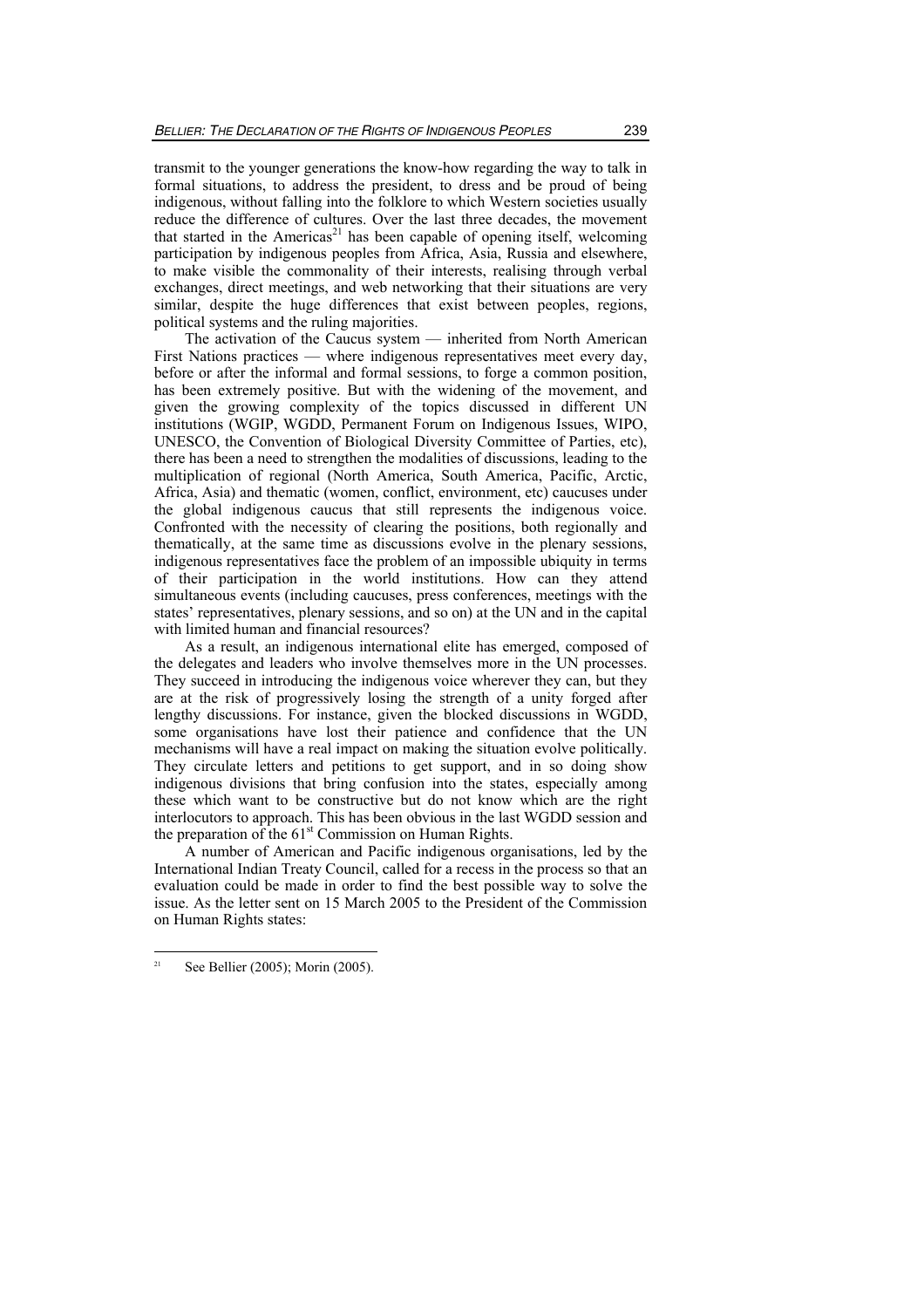transmit to the younger generations the know-how regarding the way to talk in formal situations, to address the president, to dress and be proud of being indigenous, without falling into the folklore to which Western societies usually reduce the difference of cultures. Over the last three decades, the movement that started in the Americas<sup>21</sup> has been capable of opening itself, welcoming participation by indigenous peoples from Africa, Asia, Russia and elsewhere, to make visible the commonality of their interests, realising through verbal exchanges, direct meetings, and web networking that their situations are very similar, despite the huge differences that exist between peoples, regions, political systems and the ruling majorities.

The activation of the Caucus system — inherited from North American First Nations practices — where indigenous representatives meet every day, before or after the informal and formal sessions, to forge a common position, has been extremely positive. But with the widening of the movement, and given the growing complexity of the topics discussed in different UN institutions (WGIP, WGDD, Permanent Forum on Indigenous Issues, WIPO, UNESCO, the Convention of Biological Diversity Committee of Parties, etc), there has been a need to strengthen the modalities of discussions, leading to the multiplication of regional (North America, South America, Pacific, Arctic, Africa, Asia) and thematic (women, conflict, environment, etc) caucuses under the global indigenous caucus that still represents the indigenous voice. Confronted with the necessity of clearing the positions, both regionally and thematically, at the same time as discussions evolve in the plenary sessions, indigenous representatives face the problem of an impossible ubiquity in terms of their participation in the world institutions. How can they attend simultaneous events (including caucuses, press conferences, meetings with the states' representatives, plenary sessions, and so on) at the UN and in the capital with limited human and financial resources?

As a result, an indigenous international elite has emerged, composed of the delegates and leaders who involve themselves more in the UN processes. They succeed in introducing the indigenous voice wherever they can, but they are at the risk of progressively losing the strength of a unity forged after lengthy discussions. For instance, given the blocked discussions in WGDD, some organisations have lost their patience and confidence that the UN mechanisms will have a real impact on making the situation evolve politically. They circulate letters and petitions to get support, and in so doing show indigenous divisions that bring confusion into the states, especially among these which want to be constructive but do not know which are the right interlocutors to approach. This has been obvious in the last WGDD session and the preparation of the  $61<sup>st</sup>$  Commission on Human Rights.

A number of American and Pacific indigenous organisations, led by the International Indian Treaty Council, called for a recess in the process so that an evaluation could be made in order to find the best possible way to solve the issue. As the letter sent on 15 March 2005 to the President of the Commission on Human Rights states:

See Bellier (2005); Morin (2005).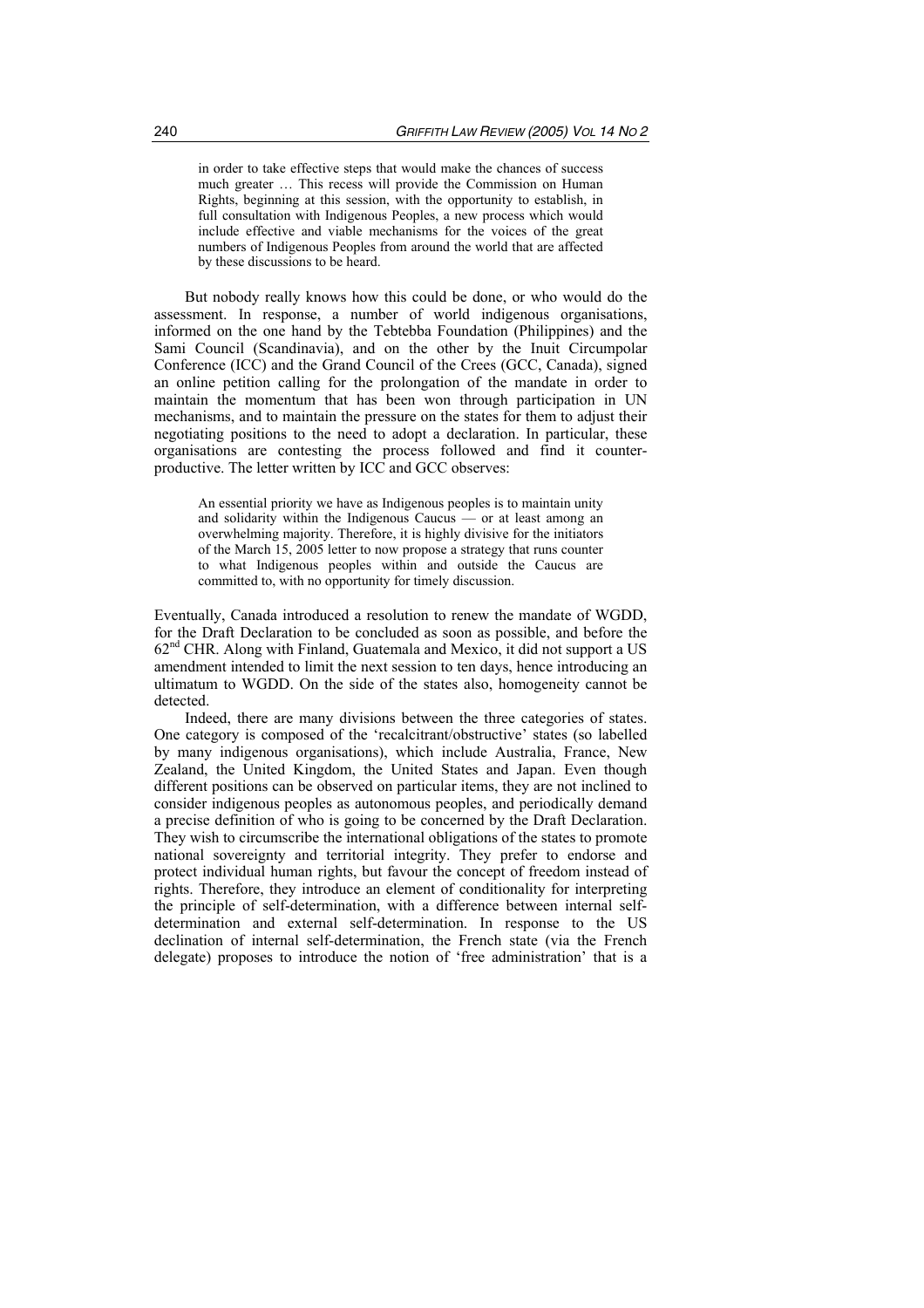in order to take effective steps that would make the chances of success much greater ... This recess will provide the Commission on Human Rights, beginning at this session, with the opportunity to establish, in full consultation with Indigenous Peoples, a new process which would include effective and viable mechanisms for the voices of the great numbers of Indigenous Peoples from around the world that are affected by these discussions to be heard.

But nobody really knows how this could be done, or who would do the assessment. In response, a number of world indigenous organisations, informed on the one hand by the Tebtebba Foundation (Philippines) and the Sami Council (Scandinavia), and on the other by the Inuit Circumpolar Conference (ICC) and the Grand Council of the Crees (GCC, Canada), signed an online petition calling for the prolongation of the mandate in order to maintain the momentum that has been won through participation in UN mechanisms, and to maintain the pressure on the states for them to adjust their negotiating positions to the need to adopt a declaration. In particular, these organisations are contesting the process followed and find it counterproductive. The letter written by ICC and GCC observes:

An essential priority we have as Indigenous peoples is to maintain unity and solidarity within the Indigenous Caucus — or at least among an overwhelming majority. Therefore, it is highly divisive for the initiators of the March 15, 2005 letter to now propose a strategy that runs counter to what Indigenous peoples within and outside the Caucus are committed to, with no opportunity for timely discussion.

Eventually, Canada introduced a resolution to renew the mandate of WGDD, for the Draft Declaration to be concluded as soon as possible, and before the  $62<sup>nd</sup>$  CHR. Along with Finland, Guatemala and Mexico, it did not support a US amendment intended to limit the next session to ten days, hence introducing an ultimatum to WGDD. On the side of the states also, homogeneity cannot be detected.

Indeed, there are many divisions between the three categories of states. One category is composed of the 'recalcitrant/obstructive' states (so labelled by many indigenous organisations), which include Australia, France, New Zealand, the United Kingdom, the United States and Japan. Even though different positions can be observed on particular items, they are not inclined to consider indigenous peoples as autonomous peoples, and periodically demand a precise definition of who is going to be concerned by the Draft Declaration. They wish to circumscribe the international obligations of the states to promote national sovereignty and territorial integrity. They prefer to endorse and protect individual human rights, but favour the concept of freedom instead of rights. Therefore, they introduce an element of conditionality for interpreting the principle of self-determination, with a difference between internal selfdetermination and external self-determination. In response to the US declination of internal self-determination, the French state (via the French delegate) proposes to introduce the notion of 'free administration' that is a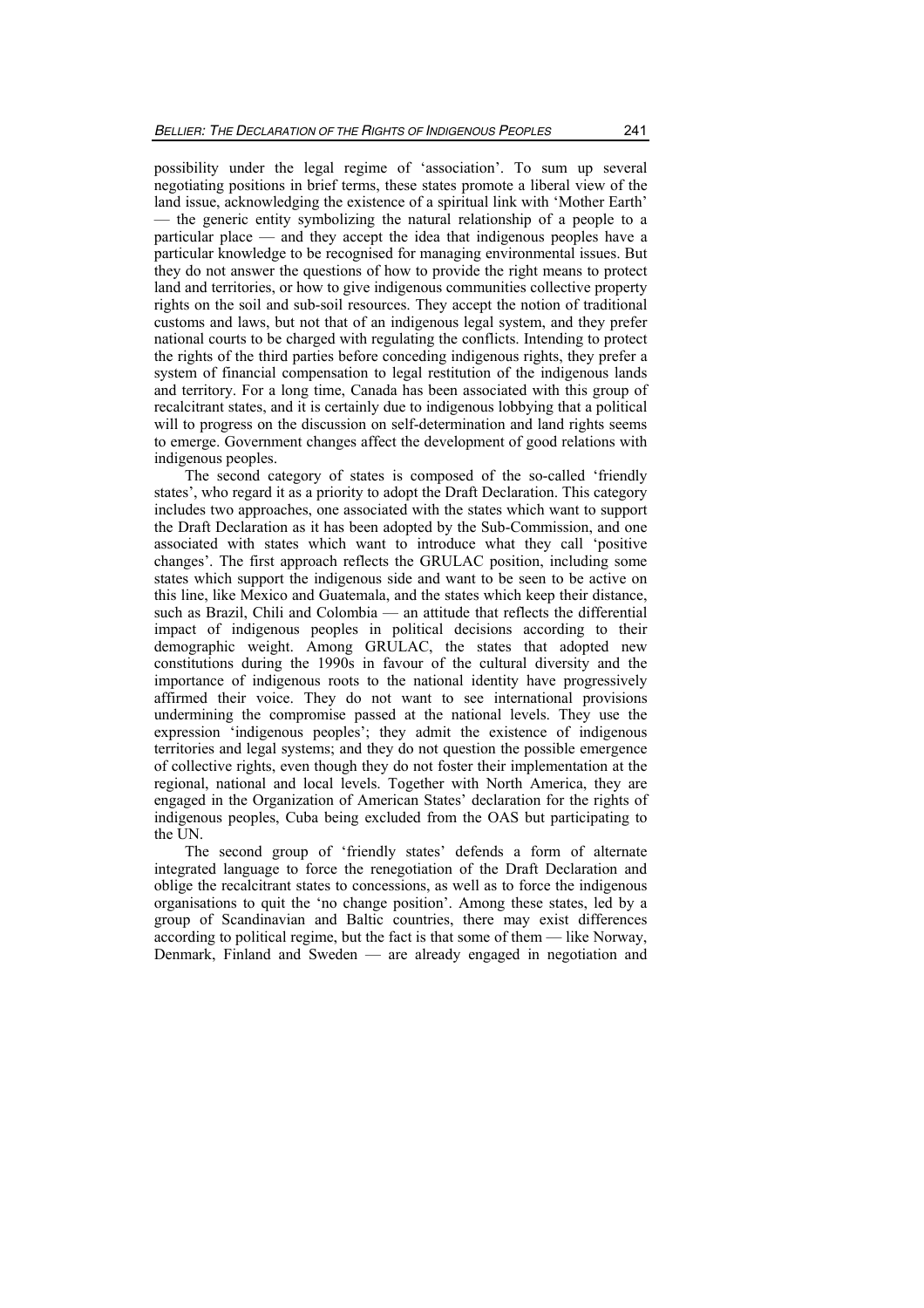possibility under the legal regime of 'association'. To sum up several negotiating positions in brief terms, these states promote a liberal view of the land issue, acknowledging the existence of a spiritual link with 'Mother Earth' — the generic entity symbolizing the natural relationship of a people to a particular place — and they accept the idea that indigenous peoples have a particular knowledge to be recognised for managing environmental issues. But they do not answer the questions of how to provide the right means to protect land and territories, or how to give indigenous communities collective property rights on the soil and sub-soil resources. They accept the notion of traditional customs and laws, but not that of an indigenous legal system, and they prefer national courts to be charged with regulating the conflicts. Intending to protect the rights of the third parties before conceding indigenous rights, they prefer a system of financial compensation to legal restitution of the indigenous lands and territory. For a long time, Canada has been associated with this group of recalcitrant states, and it is certainly due to indigenous lobbying that a political will to progress on the discussion on self-determination and land rights seems to emerge. Government changes affect the development of good relations with indigenous peoples.

The second category of states is composed of the so-called 'friendly states', who regard it as a priority to adopt the Draft Declaration. This category includes two approaches, one associated with the states which want to support the Draft Declaration as it has been adopted by the Sub-Commission, and one associated with states which want to introduce what they call 'positive changes'. The first approach reflects the GRULAC position, including some states which support the indigenous side and want to be seen to be active on this line, like Mexico and Guatemala, and the states which keep their distance, such as Brazil, Chili and Colombia — an attitude that reflects the differential impact of indigenous peoples in political decisions according to their demographic weight. Among GRULAC, the states that adopted new constitutions during the 1990s in favour of the cultural diversity and the importance of indigenous roots to the national identity have progressively affirmed their voice. They do not want to see international provisions undermining the compromise passed at the national levels. They use the expression 'indigenous peoples'; they admit the existence of indigenous territories and legal systems; and they do not question the possible emergence of collective rights, even though they do not foster their implementation at the regional, national and local levels. Together with North America, they are engaged in the Organization of American States' declaration for the rights of indigenous peoples, Cuba being excluded from the OAS but participating to the UN.

The second group of 'friendly states' defends a form of alternate integrated language to force the renegotiation of the Draft Declaration and oblige the recalcitrant states to concessions, as well as to force the indigenous organisations to quit the 'no change position'. Among these states, led by a group of Scandinavian and Baltic countries, there may exist differences according to political regime, but the fact is that some of them — like Norway, Denmark, Finland and Sweden — are already engaged in negotiation and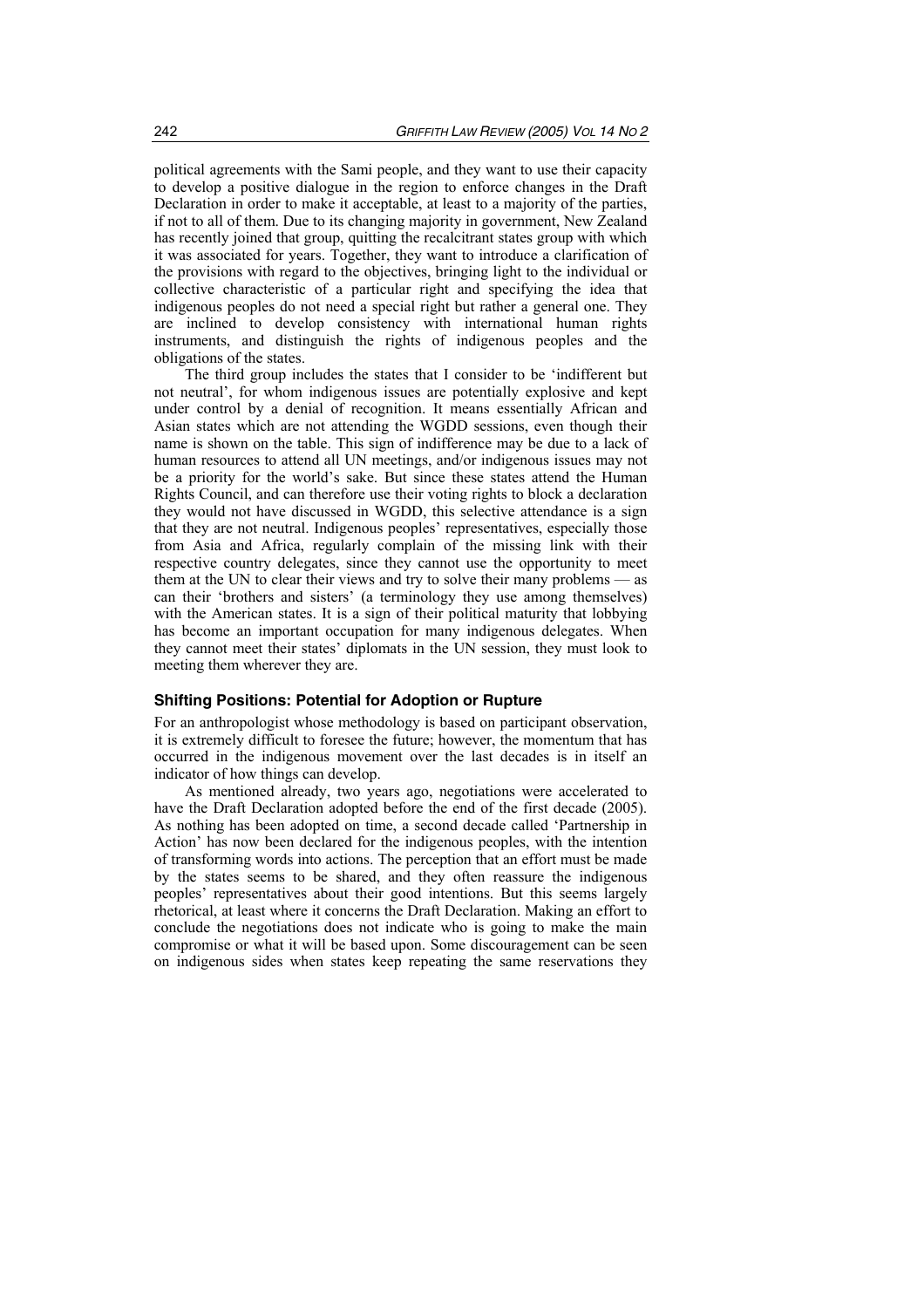political agreements with the Sami people, and they want to use their capacity to develop a positive dialogue in the region to enforce changes in the Draft Declaration in order to make it acceptable, at least to a majority of the parties, if not to all of them. Due to its changing majority in government, New Zealand has recently joined that group, quitting the recalcitrant states group with which it was associated for years. Together, they want to introduce a clarification of the provisions with regard to the objectives, bringing light to the individual or collective characteristic of a particular right and specifying the idea that indigenous peoples do not need a special right but rather a general one. They are inclined to develop consistency with international human rights instruments, and distinguish the rights of indigenous peoples and the obligations of the states.

The third group includes the states that I consider to be 'indifferent but not neutral', for whom indigenous issues are potentially explosive and kept under control by a denial of recognition. It means essentially African and Asian states which are not attending the WGDD sessions, even though their name is shown on the table. This sign of indifference may be due to a lack of human resources to attend all UN meetings, and/or indigenous issues may not be a priority for the world's sake. But since these states attend the Human Rights Council, and can therefore use their voting rights to block a declaration they would not have discussed in WGDD, this selective attendance is a sign that they are not neutral. Indigenous peoples' representatives, especially those from Asia and Africa, regularly complain of the missing link with their respective country delegates, since they cannot use the opportunity to meet them at the UN to clear their views and try to solve their many problems — as can their 'brothers and sisters' (a terminology they use among themselves) with the American states. It is a sign of their political maturity that lobbying has become an important occupation for many indigenous delegates. When they cannot meet their states' diplomats in the UN session, they must look to meeting them wherever they are.

#### **Shifting Positions: Potential for Adoption or Rupture**

For an anthropologist whose methodology is based on participant observation, it is extremely difficult to foresee the future; however, the momentum that has occurred in the indigenous movement over the last decades is in itself an indicator of how things can develop.

As mentioned already, two years ago, negotiations were accelerated to have the Draft Declaration adopted before the end of the first decade (2005). As nothing has been adopted on time, a second decade called 'Partnership in Action' has now been declared for the indigenous peoples, with the intention of transforming words into actions. The perception that an effort must be made by the states seems to be shared, and they often reassure the indigenous peoples' representatives about their good intentions. But this seems largely rhetorical, at least where it concerns the Draft Declaration. Making an effort to conclude the negotiations does not indicate who is going to make the main compromise or what it will be based upon. Some discouragement can be seen on indigenous sides when states keep repeating the same reservations they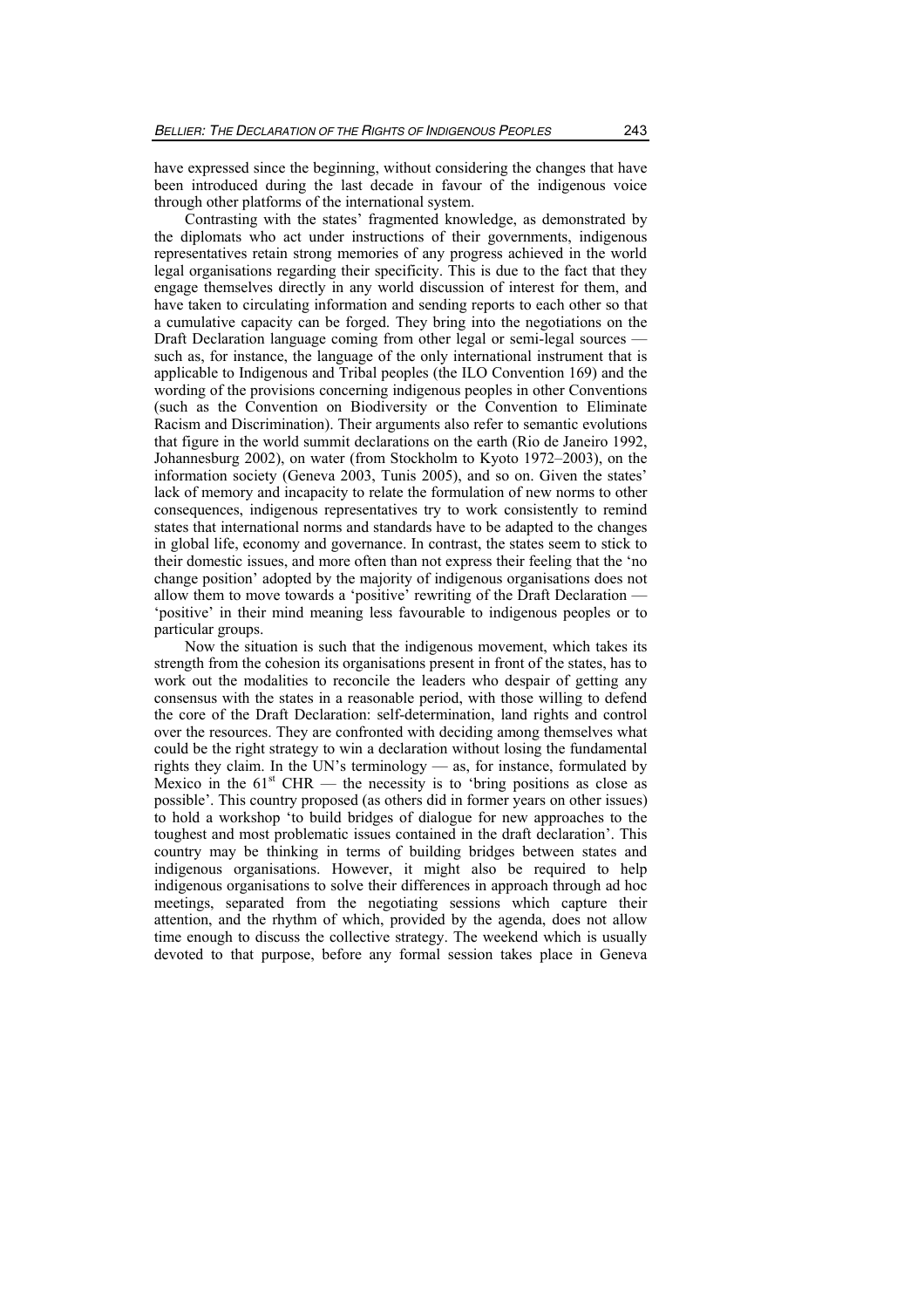have expressed since the beginning, without considering the changes that have been introduced during the last decade in favour of the indigenous voice through other platforms of the international system.

Contrasting with the states' fragmented knowledge, as demonstrated by the diplomats who act under instructions of their governments, indigenous representatives retain strong memories of any progress achieved in the world legal organisations regarding their specificity. This is due to the fact that they engage themselves directly in any world discussion of interest for them, and have taken to circulating information and sending reports to each other so that a cumulative capacity can be forged. They bring into the negotiations on the Draft Declaration language coming from other legal or semi-legal sources such as, for instance, the language of the only international instrument that is applicable to Indigenous and Tribal peoples (the ILO Convention 169) and the wording of the provisions concerning indigenous peoples in other Conventions (such as the Convention on Biodiversity or the Convention to Eliminate Racism and Discrimination). Their arguments also refer to semantic evolutions that figure in the world summit declarations on the earth (Rio de Janeiro 1992, Johannesburg 2002), on water (from Stockholm to Kyoto 1972–2003), on the information society (Geneva 2003, Tunis 2005), and so on. Given the states' lack of memory and incapacity to relate the formulation of new norms to other consequences, indigenous representatives try to work consistently to remind states that international norms and standards have to be adapted to the changes in global life, economy and governance. In contrast, the states seem to stick to their domestic issues, and more often than not express their feeling that the 'no change position' adopted by the majority of indigenous organisations does not allow them to move towards a 'positive' rewriting of the Draft Declaration — 'positive' in their mind meaning less favourable to indigenous peoples or to particular groups.

Now the situation is such that the indigenous movement, which takes its strength from the cohesion its organisations present in front of the states, has to work out the modalities to reconcile the leaders who despair of getting any consensus with the states in a reasonable period, with those willing to defend the core of the Draft Declaration: self-determination, land rights and control over the resources. They are confronted with deciding among themselves what could be the right strategy to win a declaration without losing the fundamental rights they claim. In the UN's terminology — as, for instance, formulated by Mexico in the  $61<sup>st</sup>$  CHR — the necessity is to 'bring positions as close as possible'. This country proposed (as others did in former years on other issues) to hold a workshop 'to build bridges of dialogue for new approaches to the toughest and most problematic issues contained in the draft declaration'. This country may be thinking in terms of building bridges between states and indigenous organisations. However, it might also be required to help indigenous organisations to solve their differences in approach through ad hoc meetings, separated from the negotiating sessions which capture their attention, and the rhythm of which, provided by the agenda, does not allow time enough to discuss the collective strategy. The weekend which is usually devoted to that purpose, before any formal session takes place in Geneva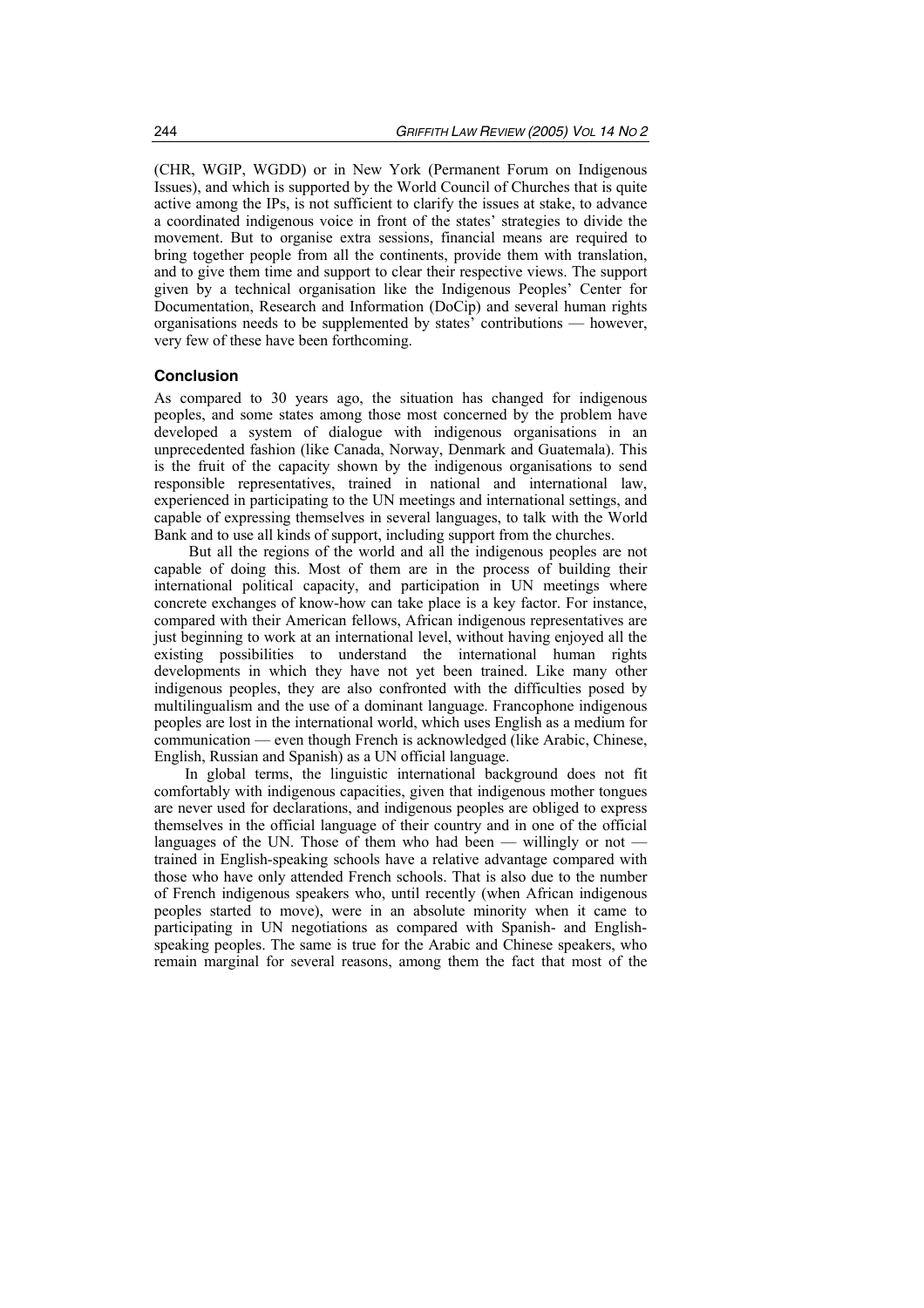(CHR, WGIP, WGDD) or in New York (Permanent Forum on Indigenous Issues), and which is supported by the World Council of Churches that is quite active among the IPs, is not sufficient to clarify the issues at stake, to advance a coordinated indigenous voice in front of the states' strategies to divide the movement. But to organise extra sessions, financial means are required to bring together people from all the continents, provide them with translation, and to give them time and support to clear their respective views. The support given by a technical organisation like the Indigenous Peoples' Center for Documentation, Research and Information (DoCip) and several human rights organisations needs to be supplemented by states' contributions — however, very few of these have been forthcoming.

#### **Conclusion**

As compared to 30 years ago, the situation has changed for indigenous peoples, and some states among those most concerned by the problem have developed a system of dialogue with indigenous organisations in an unprecedented fashion (like Canada, Norway, Denmark and Guatemala). This is the fruit of the capacity shown by the indigenous organisations to send responsible representatives, trained in national and international law, experienced in participating to the UN meetings and international settings, and capable of expressing themselves in several languages, to talk with the World Bank and to use all kinds of support, including support from the churches.

 But all the regions of the world and all the indigenous peoples are not capable of doing this. Most of them are in the process of building their international political capacity, and participation in UN meetings where concrete exchanges of know-how can take place is a key factor. For instance, compared with their American fellows, African indigenous representatives are just beginning to work at an international level, without having enjoyed all the existing possibilities to understand the international human rights developments in which they have not yet been trained. Like many other indigenous peoples, they are also confronted with the difficulties posed by multilingualism and the use of a dominant language. Francophone indigenous peoples are lost in the international world, which uses English as a medium for communication — even though French is acknowledged (like Arabic, Chinese, English, Russian and Spanish) as a UN official language.

In global terms, the linguistic international background does not fit comfortably with indigenous capacities, given that indigenous mother tongues are never used for declarations, and indigenous peoples are obliged to express themselves in the official language of their country and in one of the official languages of the UN. Those of them who had been — willingly or not trained in English-speaking schools have a relative advantage compared with those who have only attended French schools. That is also due to the number of French indigenous speakers who, until recently (when African indigenous peoples started to move), were in an absolute minority when it came to participating in UN negotiations as compared with Spanish- and Englishspeaking peoples. The same is true for the Arabic and Chinese speakers, who remain marginal for several reasons, among them the fact that most of the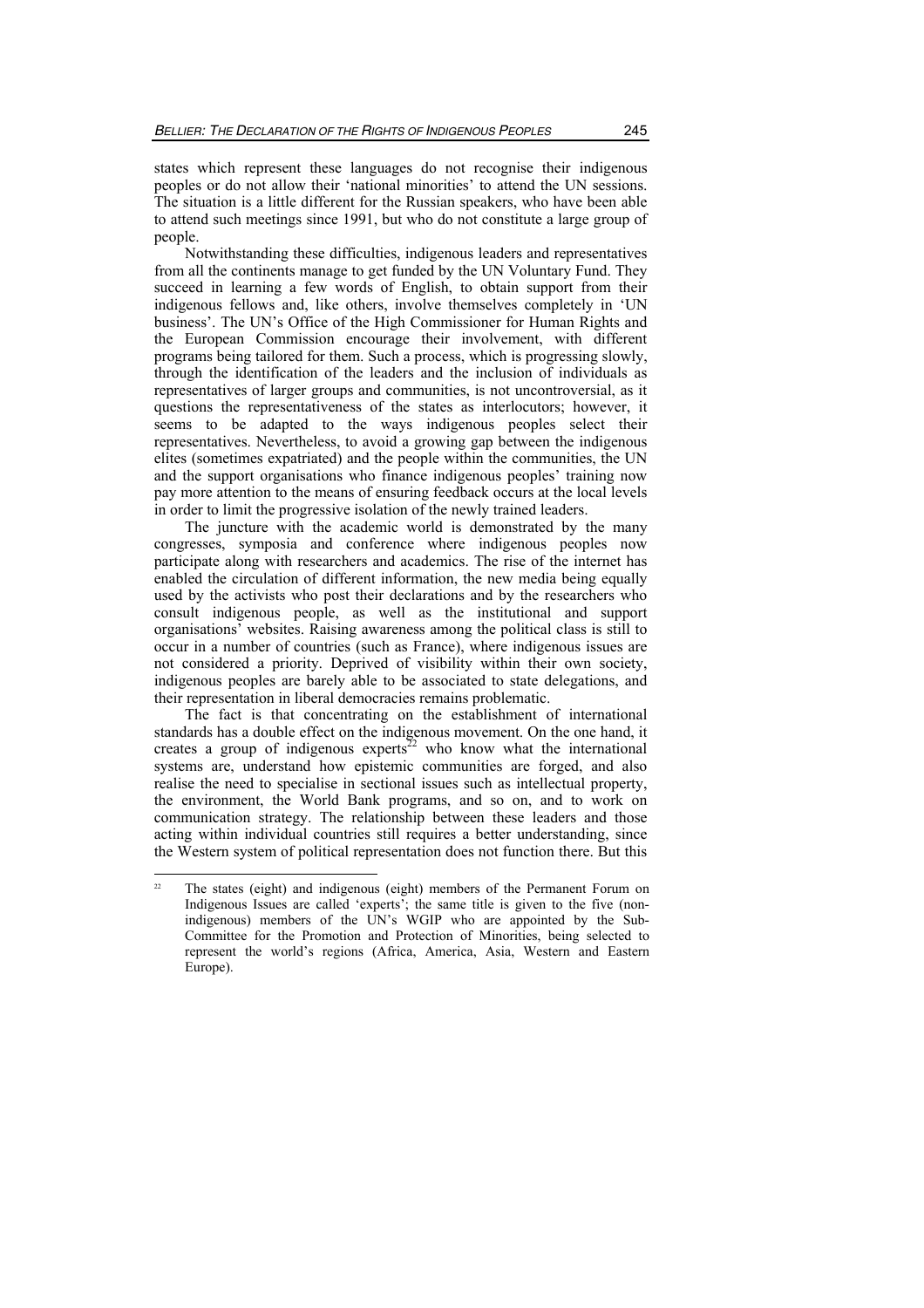states which represent these languages do not recognise their indigenous peoples or do not allow their 'national minorities' to attend the UN sessions. The situation is a little different for the Russian speakers, who have been able to attend such meetings since 1991, but who do not constitute a large group of people.

Notwithstanding these difficulties, indigenous leaders and representatives from all the continents manage to get funded by the UN Voluntary Fund. They succeed in learning a few words of English, to obtain support from their indigenous fellows and, like others, involve themselves completely in 'UN business'. The UN's Office of the High Commissioner for Human Rights and the European Commission encourage their involvement, with different programs being tailored for them. Such a process, which is progressing slowly, through the identification of the leaders and the inclusion of individuals as representatives of larger groups and communities, is not uncontroversial, as it questions the representativeness of the states as interlocutors; however, it seems to be adapted to the ways indigenous peoples select their representatives. Nevertheless, to avoid a growing gap between the indigenous elites (sometimes expatriated) and the people within the communities, the UN and the support organisations who finance indigenous peoples' training now pay more attention to the means of ensuring feedback occurs at the local levels in order to limit the progressive isolation of the newly trained leaders.

The juncture with the academic world is demonstrated by the many congresses, symposia and conference where indigenous peoples now participate along with researchers and academics. The rise of the internet has enabled the circulation of different information, the new media being equally used by the activists who post their declarations and by the researchers who consult indigenous people, as well as the institutional and support organisations' websites. Raising awareness among the political class is still to occur in a number of countries (such as France), where indigenous issues are not considered a priority. Deprived of visibility within their own society, indigenous peoples are barely able to be associated to state delegations, and their representation in liberal democracies remains problematic.

The fact is that concentrating on the establishment of international standards has a double effect on the indigenous movement. On the one hand, it creates a group of indigenous experts<sup>22</sup> who know what the international systems are, understand how epistemic communities are forged, and also realise the need to specialise in sectional issues such as intellectual property, the environment, the World Bank programs, and so on, and to work on communication strategy. The relationship between these leaders and those acting within individual countries still requires a better understanding, since the Western system of political representation does not function there. But this

 $22$ The states (eight) and indigenous (eight) members of the Permanent Forum on Indigenous Issues are called 'experts'; the same title is given to the five (nonindigenous) members of the UN's WGIP who are appointed by the Sub-Committee for the Promotion and Protection of Minorities, being selected to represent the world's regions (Africa, America, Asia, Western and Eastern Europe).